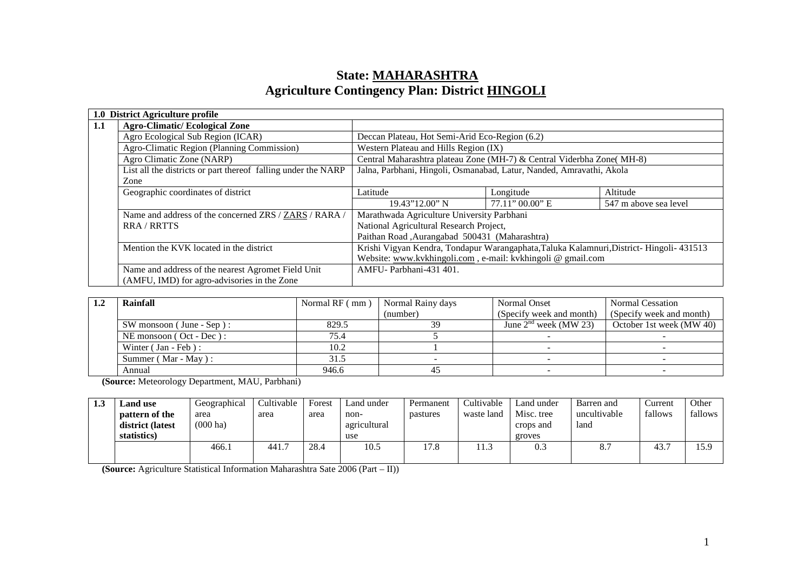## **State: MAHARASHTRAAgriculture Contingency Plan: District HINGOLI**

|     | 1.0 District Agriculture profile                              |                                                                                         |                    |                       |  |
|-----|---------------------------------------------------------------|-----------------------------------------------------------------------------------------|--------------------|-----------------------|--|
| 1.1 | <b>Agro-Climatic/Ecological Zone</b>                          |                                                                                         |                    |                       |  |
|     | Agro Ecological Sub Region (ICAR)                             | Deccan Plateau, Hot Semi-Arid Eco-Region (6.2)                                          |                    |                       |  |
|     | Agro-Climatic Region (Planning Commission)                    | Western Plateau and Hills Region (IX)                                                   |                    |                       |  |
|     | Agro Climatic Zone (NARP)                                     | Central Maharashtra plateau Zone (MH-7) & Central Viderbha Zone( MH-8)                  |                    |                       |  |
|     | List all the districts or part thereof falling under the NARP | Jalna, Parbhani, Hingoli, Osmanabad, Latur, Nanded, Amravathi, Akola                    |                    |                       |  |
|     | Zone                                                          |                                                                                         |                    |                       |  |
|     | Geographic coordinates of district                            | Latitude                                                                                | Longitude          | Altitude              |  |
|     |                                                               | 19.43"12.00" N                                                                          | $77.11$ " 00.00" E | 547 m above sea level |  |
|     | Name and address of the concerned ZRS / ZARS / RARA /         | Marathwada Agriculture University Parbhani                                              |                    |                       |  |
|     | <b>RRA/RRTTS</b>                                              | National Agricultural Research Project,                                                 |                    |                       |  |
|     |                                                               | Paithan Road, Aurangabad 500431 (Maharashtra)                                           |                    |                       |  |
|     | Mention the KVK located in the district                       | Krishi Vigyan Kendra, Tondapur Warangaphata, Taluka Kalamnuri, District-Hingoli- 431513 |                    |                       |  |
|     |                                                               | Website: www.kvkhingoli.com, e-mail: kvkhingoli @ gmail.com                             |                    |                       |  |
|     | Name and address of the nearest Agromet Field Unit            | AMFU-Parbhani-431 401.                                                                  |                    |                       |  |
|     | (AMFU, IMD) for agro-advisories in the Zone                   |                                                                                         |                    |                       |  |

| Rainfall                       | Normal RF (mm) | Normal Rainy days | Normal Onset               | <b>Normal Cessation</b>  |
|--------------------------------|----------------|-------------------|----------------------------|--------------------------|
|                                |                | (number)          | (Specify week and month)   | (Specify week and month) |
| $SW$ monsoon (June - Sep):     | 829.5          | 39                | June $2^{nd}$ week (MW 23) | October 1st week (MW 40) |
| NE monsoon $($ Oct - Dec $)$ : | 75.4           |                   |                            |                          |
| Winter $( Jan - Feb)$ :        | 10.2           |                   |                            |                          |
| Summer ( $Mar - May$ ):        | 31.5           |                   |                            |                          |
| Annual                         | 946.6          | 45                |                            |                          |

**(Source:** Meteorology Department, MAU, Parbhani)

| 1.3 | <b>Land use</b>  | Geographical       | Cultivable | Forest | Land under   | Permanent | Cultivable | Land under | Barren and   | Current | Other   |
|-----|------------------|--------------------|------------|--------|--------------|-----------|------------|------------|--------------|---------|---------|
|     | pattern of the   | area               | area       | area   | non-         | pastures  | waste land | Misc. tree | uncultivable | fallows | fallows |
|     | district (latest | $(000 \text{ ha})$ |            |        | agricultural |           |            | crops and  | land         |         |         |
|     | statistics)      |                    |            |        | use          |           |            | groves     |              |         |         |
|     |                  | 466.1              | 441.7      | 28.4   | 10.5         | 17.8      |            | 0.3        |              | 43.7    | 15.9    |
|     |                  |                    |            |        |              |           |            |            |              |         |         |

**(Source:** Agriculture Statistical Information Maharashtra Sate 2006 (Part – II))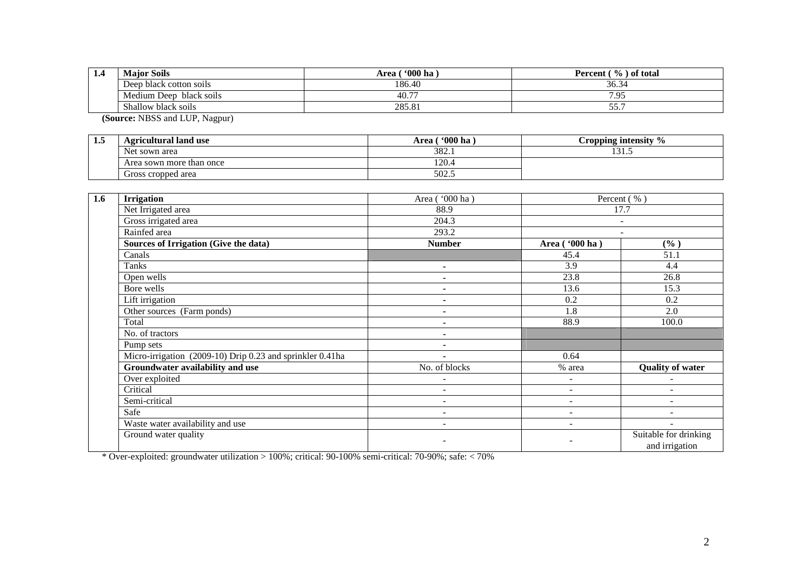| 1.4 | <b>Maior Soils</b>         | 600 <sub>ha</sub><br>Area | of total<br>$\frac{9}{6}$ .<br>Percent |  |  |
|-----|----------------------------|---------------------------|----------------------------------------|--|--|
|     | Deep black cotton soils    | 186.40                    | 36.34                                  |  |  |
|     | Medium Deep<br>black soils | 40.77                     | 7.95                                   |  |  |
|     | Shallow black soils        | 285.81                    | ---<br>55.                             |  |  |

**(Source:** NBSS and LUP, Nagpur)

| - 1. | Agricultural land use         | $\cdot$ 000 ha<br>Area | $\mathbf{0}/2$<br>Cropping intensity<br>$\prime$ |
|------|-------------------------------|------------------------|--------------------------------------------------|
|      | <b>Net</b><br>t sown area     | 382.1                  | $\sim$ $\sim$ $\sim$<br>10 I .O                  |
|      | a sown more than once<br>Area | 120.4                  |                                                  |
|      | Gross cropped area            | 502.5                  |                                                  |

| 1.6 | <b>Irrigation</b>                                         | Area ('000 ha) |                | Percent (%)                             |  |
|-----|-----------------------------------------------------------|----------------|----------------|-----------------------------------------|--|
|     | Net Irrigated area                                        | 88.9           | 17.7           |                                         |  |
|     | Gross irrigated area                                      | 204.3          |                | $\sim$                                  |  |
|     | Rainfed area                                              | 293.2          |                |                                         |  |
|     | Sources of Irrigation (Give the data)                     | <b>Number</b>  | Area ('000 ha) | $(\%)$                                  |  |
|     | Canals                                                    |                | 45.4           | 51.1                                    |  |
|     | Tanks                                                     | ۰.             | 3.9            | 4.4                                     |  |
|     | Open wells                                                |                | 23.8           | 26.8                                    |  |
|     | Bore wells                                                | ٠              | 13.6           | 15.3                                    |  |
|     | Lift irrigation                                           |                | 0.2            | 0.2                                     |  |
|     | Other sources (Farm ponds)                                | ۰.             | 1.8            | 2.0                                     |  |
|     | Total                                                     |                | 88.9           | 100.0                                   |  |
|     | No. of tractors                                           |                |                |                                         |  |
|     | Pump sets                                                 | ٠              |                |                                         |  |
|     | Micro-irrigation (2009-10) Drip 0.23 and sprinkler 0.41ha | ٠              | 0.64           |                                         |  |
|     | Groundwater availability and use                          | No. of blocks  | % area         | <b>Quality of water</b>                 |  |
|     | Over exploited                                            | ۰              | ۰              |                                         |  |
|     | Critical                                                  | ۰              | $\sim$         |                                         |  |
|     | Semi-critical                                             | Ξ.             | $\sim$         | $\blacksquare$                          |  |
|     | Safe                                                      | Ξ.             | ۰              |                                         |  |
|     | Waste water availability and use                          | ۰              |                |                                         |  |
|     | Ground water quality                                      |                |                | Suitable for drinking<br>and irrigation |  |

\* Over-exploited: groundwater utilization > 100%; critical: 90-100% semi-critical: 70-90%; safe: < 70%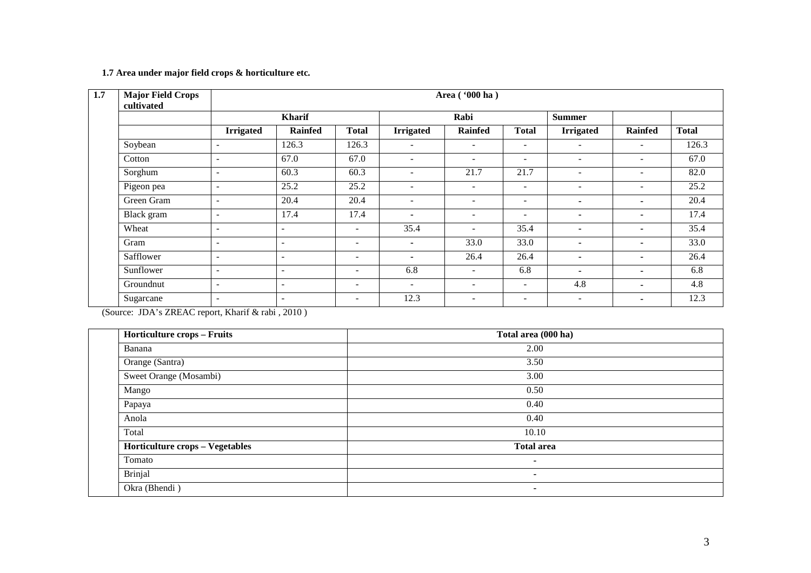#### **1.7 Area under major field crops & horticulture etc.**

| Major Field Crops<br>cultivated |                          |                          |                          | Area ('000 ha)           |                              |                          |                          |                          |              |
|---------------------------------|--------------------------|--------------------------|--------------------------|--------------------------|------------------------------|--------------------------|--------------------------|--------------------------|--------------|
|                                 |                          | <b>Kharif</b>            |                          |                          | Rabi                         |                          | <b>Summer</b>            |                          |              |
|                                 | <b>Irrigated</b>         | <b>Rainfed</b>           | <b>Total</b>             | <b>Irrigated</b>         | <b>Rainfed</b>               | <b>Total</b>             | <b>Irrigated</b>         | Rainfed                  | <b>Total</b> |
| Soybean                         | $\blacksquare$           | 126.3                    | 126.3                    | $\sim$                   | ۰                            | $\overline{\phantom{a}}$ | $\overline{\phantom{a}}$ | ۰.                       | 126.3        |
| Cotton                          | $\overline{\phantom{a}}$ | 67.0                     | 67.0                     | Ξ.                       | $\qquad \qquad \blacksquare$ | $\overline{\phantom{a}}$ | $\overline{\phantom{a}}$ | $\overline{\phantom{0}}$ | 67.0         |
| Sorghum                         | $\blacksquare$           | 60.3                     | 60.3                     | $\sim$                   | 21.7                         | 21.7                     | $\overline{\phantom{a}}$ | $\overline{\phantom{0}}$ | 82.0         |
| Pigeon pea                      | $\overline{a}$           | 25.2                     | 25.2                     | $\overline{\phantom{a}}$ | $\overline{\phantom{a}}$     | $\overline{\phantom{a}}$ | $\overline{\phantom{a}}$ | $\overline{\phantom{a}}$ | 25.2         |
| Green Gram                      | $\overline{\phantom{a}}$ | 20.4                     | 20.4                     | $\overline{\phantom{a}}$ | $\overline{\phantom{a}}$     | $\overline{\phantom{a}}$ | $\overline{\phantom{0}}$ | $\blacksquare$           | 20.4         |
| Black gram                      | $\overline{\phantom{a}}$ | 17.4                     | 17.4                     | $\overline{\phantom{a}}$ | $\overline{\phantom{a}}$     | $\overline{\phantom{a}}$ | $\blacksquare$           | ۰.                       | 17.4         |
| Wheat                           | $\blacksquare$           | $\sim$                   | $\overline{\phantom{a}}$ | 35.4                     | ۰                            | 35.4                     | $\overline{\phantom{0}}$ |                          | 35.4         |
| Gram                            | $\overline{\phantom{a}}$ | $\overline{\phantom{a}}$ | $\overline{\phantom{a}}$ | $\blacksquare$           | 33.0                         | 33.0                     | $\overline{\phantom{0}}$ | ۰.                       | 33.0         |
| Safflower                       | $\overline{\phantom{a}}$ | $\sim$                   | $\overline{\phantom{a}}$ | $\overline{\phantom{a}}$ | 26.4                         | 26.4                     | $\blacksquare$           | ۰.                       | 26.4         |
| Sunflower                       | $\overline{\phantom{a}}$ | $\overline{\phantom{a}}$ | $\overline{\phantom{a}}$ | 6.8                      | $\overline{\phantom{0}}$     | 6.8                      | $\overline{\phantom{0}}$ | $\blacksquare$           | 6.8          |
| Groundnut                       | $\overline{\phantom{a}}$ | $\overline{\phantom{a}}$ | $\overline{\phantom{a}}$ | $\overline{\phantom{a}}$ | $\overline{\phantom{a}}$     | $\overline{\phantom{a}}$ | 4.8                      |                          | 4.8          |
| Sugarcane                       | $\overline{\phantom{a}}$ | $\overline{\phantom{a}}$ | $\overline{\phantom{a}}$ | 12.3                     | $\overline{\phantom{a}}$     | $\overline{\phantom{0}}$ | $\overline{\phantom{a}}$ |                          | 12.3         |

(Source: JDA's ZREAC report, Kharif & rabi , 2010 )

| <b>Horticulture crops - Fruits</b>     | Total area (000 ha) |
|----------------------------------------|---------------------|
| Banana                                 | 2.00                |
| Orange (Santra)                        | 3.50                |
| Sweet Orange (Mosambi)                 | 3.00                |
| Mango                                  | 0.50                |
| Papaya                                 | 0.40                |
| Anola                                  | 0.40                |
| Total                                  | 10.10               |
| <b>Horticulture crops - Vegetables</b> | <b>Total area</b>   |
| Tomato                                 | $\blacksquare$      |
| Brinjal                                | $\blacksquare$      |
| Okra (Bhendi)                          | ۰                   |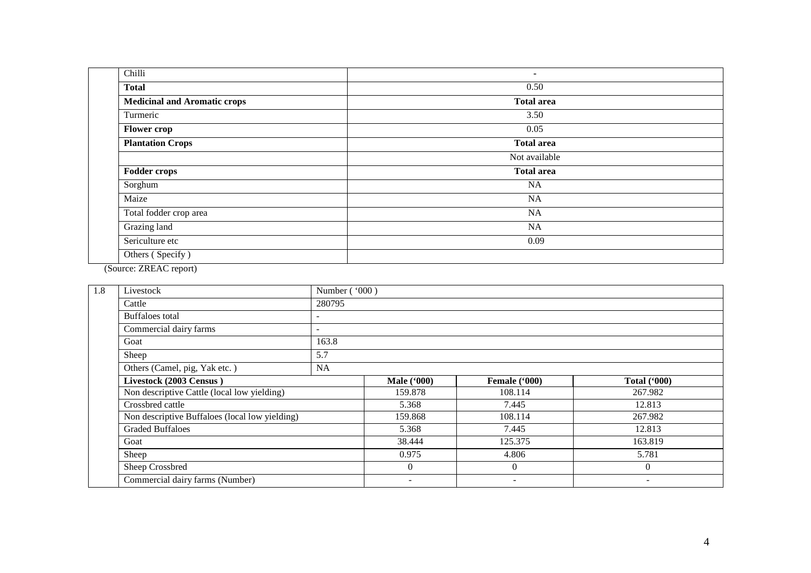| Chilli                              | ٠                 |
|-------------------------------------|-------------------|
| <b>Total</b>                        | 0.50              |
| <b>Medicinal and Aromatic crops</b> | <b>Total area</b> |
| Turmeric                            | 3.50              |
| <b>Flower</b> crop                  | 0.05              |
| <b>Plantation Crops</b>             | <b>Total area</b> |
|                                     | Not available     |
| <b>Fodder crops</b>                 | <b>Total area</b> |
| Sorghum                             | NA                |
| Maize                               | NA                |
| Total fodder crop area              | NA                |
| Grazing land                        | <b>NA</b>         |
| Sericulture etc                     | 0.09              |
| Others (Specify)                    |                   |

(Source: ZREAC report)

| 1.8 | Livestock                                      | Number ('000)            |                   |                     |          |  |  |  |  |
|-----|------------------------------------------------|--------------------------|-------------------|---------------------|----------|--|--|--|--|
|     | Cattle                                         | 280795                   |                   |                     |          |  |  |  |  |
|     | Buffaloes total                                | $\overline{\phantom{a}}$ |                   |                     |          |  |  |  |  |
|     | Commercial dairy farms                         |                          |                   |                     |          |  |  |  |  |
|     | Goat                                           | 163.8                    |                   |                     |          |  |  |  |  |
|     | Sheep                                          | 5.7                      |                   |                     |          |  |  |  |  |
|     | Others (Camel, pig, Yak etc.)                  | NA                       |                   |                     |          |  |  |  |  |
|     | Livestock (2003 Census)                        | <b>Male</b> ('000)       | Female ('000)     | <b>Total ('000)</b> |          |  |  |  |  |
|     | Non descriptive Cattle (local low yielding)    |                          | 159.878           | 108.114             | 267.982  |  |  |  |  |
|     | Crossbred cattle                               |                          | 5.368             | 7.445               | 12.813   |  |  |  |  |
|     | Non descriptive Buffaloes (local low yielding) |                          | 159.868           | 108.114             | 267.982  |  |  |  |  |
|     | <b>Graded Buffaloes</b>                        |                          | 5.368             | 7.445               | 12.813   |  |  |  |  |
|     | Goat                                           |                          | 38.444<br>125.375 |                     | 163.819  |  |  |  |  |
|     | Sheep                                          |                          | 0.975             | 4.806               | 5.781    |  |  |  |  |
|     | Sheep Crossbred                                |                          | $\overline{0}$    | $\overline{0}$      | $\theta$ |  |  |  |  |
|     | Commercial dairy farms (Number)                |                          |                   | ٠                   |          |  |  |  |  |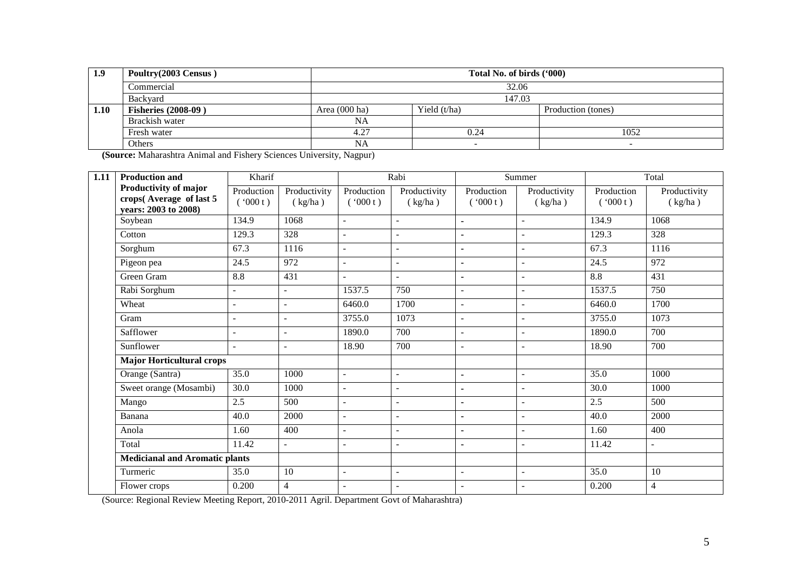| 1.9  | Poultry(2003 Census)       | Total No. of birds ('000) |                          |                    |  |  |  |  |
|------|----------------------------|---------------------------|--------------------------|--------------------|--|--|--|--|
|      | Commercial                 |                           | 32.06                    |                    |  |  |  |  |
|      | <b>Backvard</b>            |                           | 147.03                   |                    |  |  |  |  |
| 1.10 | <b>Fisheries (2008-09)</b> | Area $(000 \text{ ha})$   | Yield $(t/ha)$           | Production (tones) |  |  |  |  |
|      | Brackish water             | NA                        |                          |                    |  |  |  |  |
|      | Fresh water                | 4.27                      | 0.24                     | 1052               |  |  |  |  |
|      | Others                     | NA                        | $\overline{\phantom{a}}$ |                    |  |  |  |  |

**(Source:** Maharashtra Animal and Fishery Sciences University, Nagpur)

| 1.11 | <b>Production and</b>                                                    | Kharif                   |                         | Rabi                     |                          | Summer                   |                          | Total                 |                         |
|------|--------------------------------------------------------------------------|--------------------------|-------------------------|--------------------------|--------------------------|--------------------------|--------------------------|-----------------------|-------------------------|
|      | Productivity of major<br>crops(Average of last 5<br>years: 2003 to 2008) | Production<br>(000t)     | Productivity<br>(kg/ha) | Production<br>(000t)     | Productivity<br>(kg/ha)  | Production<br>(000t)     | Productivity<br>(kg/ha)  | Production<br>(000 t) | Productivity<br>(kg/ha) |
|      | Soybean                                                                  | 134.9                    | 1068                    | $\mathbf{r}$             | $\mathbf{r}$             | $\blacksquare$           | $\mathbf{r}$             | 134.9                 | 1068                    |
|      | Cotton                                                                   | 129.3                    | 328                     | $\overline{a}$           | $\overline{a}$           | $\blacksquare$           | L,                       | 129.3                 | 328                     |
|      | Sorghum                                                                  | 67.3                     | 1116                    | $\blacksquare$           | $\overline{a}$           | $\blacksquare$           | ÷                        | 67.3                  | 1116                    |
|      | Pigeon pea                                                               | 24.5                     | 972                     | $\overline{\phantom{a}}$ | $\overline{a}$           | $\overline{\phantom{m}}$ | L,                       | 24.5                  | 972                     |
|      | Green Gram                                                               | 8.8                      | 431                     | $\overline{a}$           | $\blacksquare$           | $\blacksquare$           | $\sim$                   | 8.8                   | 431                     |
|      | Rabi Sorghum                                                             | $\overline{a}$           | $\overline{a}$          | 1537.5                   | 750                      | $\overline{a}$           | L,                       | 1537.5                | 750                     |
|      | Wheat                                                                    | $\overline{\phantom{a}}$ | $\sim$                  | 6460.0                   | 1700                     | $\blacksquare$           | ÷                        | 6460.0                | 1700                    |
|      | Gram                                                                     | $\overline{a}$           | $\overline{a}$          | 3755.0                   | 1073                     | $\overline{a}$           | L,                       | 3755.0                | 1073                    |
|      | Safflower                                                                | $\overline{\phantom{a}}$ | $\sim$                  | 1890.0                   | 700                      | $\overline{\phantom{a}}$ | $\overline{\phantom{a}}$ | 1890.0                | 700                     |
|      | Sunflower                                                                | $\overline{a}$           | $\overline{a}$          | 18.90                    | 700                      | $\mathbf{r}$             | L,                       | 18.90                 | 700                     |
|      | <b>Major Horticultural crops</b>                                         |                          |                         |                          |                          |                          |                          |                       |                         |
|      | Orange (Santra)                                                          | 35.0                     | 1000                    | $\overline{a}$           | $\overline{a}$           | $\blacksquare$           | L,                       | 35.0                  | 1000                    |
|      | Sweet orange (Mosambi)                                                   | 30.0                     | 1000                    | $\overline{a}$           | $\overline{a}$           | $\blacksquare$           | ÷,                       | 30.0                  | 1000                    |
|      | Mango                                                                    | 2.5                      | 500                     | $\overline{\phantom{a}}$ | $\overline{\phantom{a}}$ | $\blacksquare$           | $\blacksquare$           | 2.5                   | 500                     |
|      | Banana                                                                   | 40.0                     | 2000                    | $\overline{a}$           | $\overline{a}$           | $\blacksquare$           | ÷                        | 40.0                  | 2000                    |
|      | Anola                                                                    | 1.60                     | 400                     | $\overline{a}$           | ۰                        | $\blacksquare$           | ÷                        | 1.60                  | 400                     |
|      | Total                                                                    | 11.42                    |                         |                          | $\overline{a}$           | $\blacksquare$           | ÷                        | 11.42                 | ÷,                      |
|      | <b>Medicianal and Aromatic plants</b>                                    |                          |                         |                          |                          |                          |                          |                       |                         |
|      | Turmeric                                                                 | 35.0                     | 10                      | $\overline{a}$           | $\overline{a}$           | $\blacksquare$           | $\blacksquare$           | 35.0                  | 10                      |
|      | Flower crops                                                             | 0.200                    | $\overline{4}$          | $\overline{\phantom{a}}$ |                          | $\overline{\phantom{a}}$ | ÷,                       | 0.200                 | $\overline{4}$          |

(Source: Regional Review Meeting Report, 2010-2011 Agril. Department Govt of Maharashtra)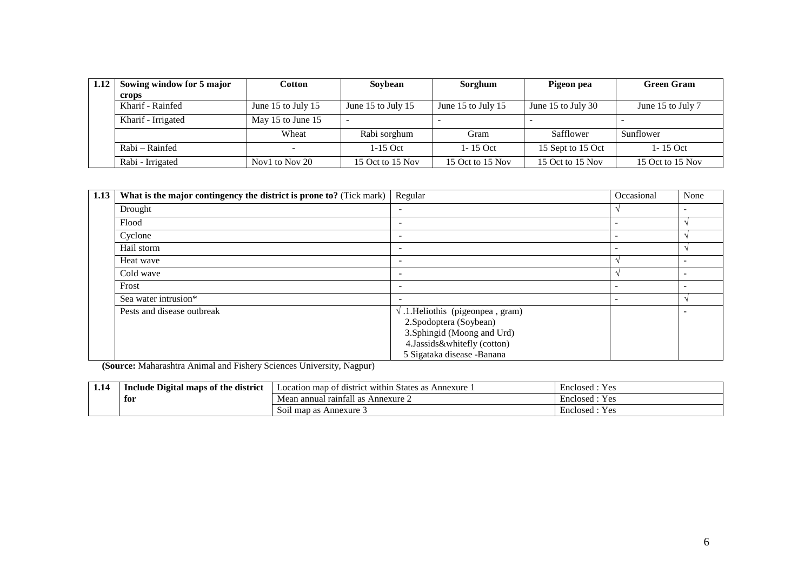| 1.12 | Sowing window for 5 major | Cotton                   | Sovbean            | Sorghum            | Pigeon pea         | <b>Green Gram</b> |
|------|---------------------------|--------------------------|--------------------|--------------------|--------------------|-------------------|
|      | crops                     |                          |                    |                    |                    |                   |
|      | Kharif - Rainfed          | June 15 to July 15       | June 15 to July 15 | June 15 to July 15 | June 15 to July 30 | June 15 to July 7 |
|      | Kharif - Irrigated        | May 15 to June 15        |                    |                    |                    |                   |
|      |                           | Wheat                    | Rabi sorghum       | Gram               | Safflower          | Sunflower         |
|      | Rabi – Rainfed            | $\overline{\phantom{0}}$ | $1-15$ Oct         | $1 - 15$ Oct       | 15 Sept to 15 Oct  | $1 - 15$ Oct      |
|      | Rabi - Irrigated          | Nov1 to Nov 20           | 15 Oct to 15 Nov   | 15 Oct to 15 Nov   | 15 Oct to 15 Nov   | 15 Oct to 15 Nov  |

| 1.13 | What is the major contingency the district is prone to? (Tick mark) | Regular                                   | Occasional               | None |
|------|---------------------------------------------------------------------|-------------------------------------------|--------------------------|------|
|      | Drought                                                             | ۰.                                        |                          |      |
|      | Flood                                                               | ۰                                         | $\overline{\phantom{0}}$ |      |
|      | Cyclone                                                             | ۰                                         | $\overline{\phantom{a}}$ |      |
|      | Hail storm                                                          | -                                         | -                        |      |
|      | Heat wave                                                           |                                           |                          |      |
|      | Cold wave                                                           | ۰                                         |                          | ۰    |
|      | Frost                                                               | $\overline{\phantom{0}}$                  | $\overline{\phantom{a}}$ |      |
|      | Sea water intrusion*                                                | -                                         | $\overline{\phantom{a}}$ |      |
|      | Pests and disease outbreak                                          | $\sqrt{.1}$ . Heliothis (pigeonpea, gram) |                          |      |
|      |                                                                     | 2. Spodoptera (Soybean)                   |                          |      |
|      |                                                                     | 3. Sphingid (Moong and Urd)               |                          |      |
|      |                                                                     | 4.Jassids&whitefly (cotton)               |                          |      |
|      |                                                                     | 5 Sigataka disease -Banana                |                          |      |

**(Source:** Maharashtra Animal and Fishery Sciences University, Nagpur)

| 1.14 | district<br><b>e Digital maps of the</b> (<br>Include | $\cdot$<br>of district within "<br>Annexure<br>States<br>Location map<br>as : | $ -$<br>$V \alpha$<br>Enclosed:<br>1 U  |
|------|-------------------------------------------------------|-------------------------------------------------------------------------------|-----------------------------------------|
|      | for<br>$\sim$ $\sim$ $\sim$                           | - -<br>Mean annual raintall as<br>Annexure $\angle$                           | $V$ $\alpha$<br>Enclosed<br>工厂          |
|      |                                                       | Soil map as Annexure 3                                                        | $ -$<br>$V_{\alpha}$<br>Enclosed:<br>工厂 |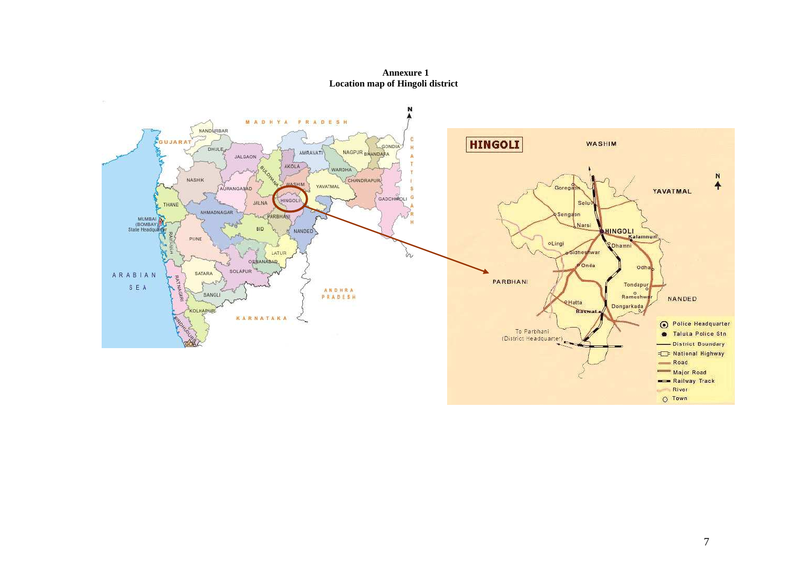**Annexure 1 Location map of Hingoli district** 

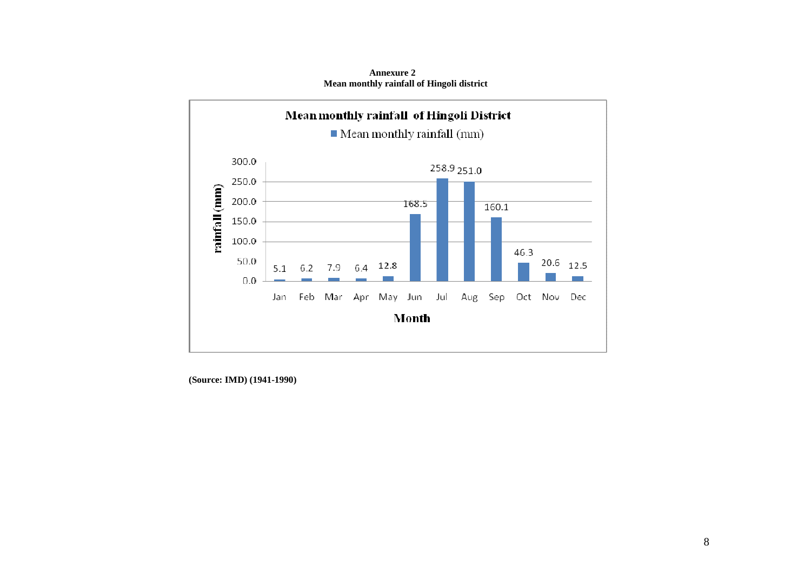

 **Annexure 2 Mean monthly rainfall of Hingoli district** 

 **(Source: IMD) (1941-1990)**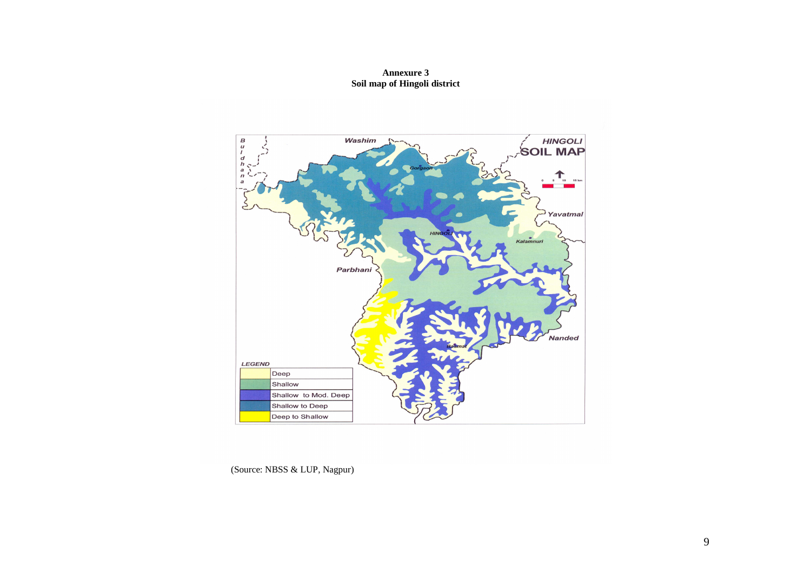# **Annexure 3 Soil map of Hingoli district**



(Source: NBSS & LUP, Nagpur)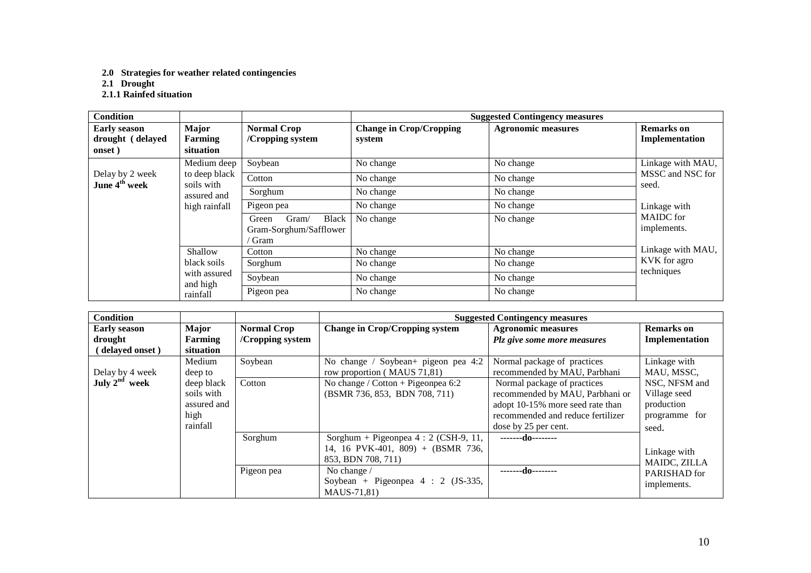**2.0 Strategies for weather related contingencies 2.1 Drought 2.1.1 Rainfed situation** 

| <b>Condition</b>                                  |                                      |                                                           |                                          | <b>Suggested Contingency measures</b> |                                     |
|---------------------------------------------------|--------------------------------------|-----------------------------------------------------------|------------------------------------------|---------------------------------------|-------------------------------------|
| <b>Early season</b><br>drought (delayed<br>onset) | <b>Major</b><br>Farming<br>situation | <b>Normal Crop</b><br>/Cropping system                    | <b>Change in Crop/Cropping</b><br>system | <b>Agronomic measures</b>             | <b>Remarks</b> on<br>Implementation |
|                                                   | Medium deep                          | Soybean                                                   | No change                                | No change                             | Linkage with MAU,                   |
| Delay by 2 week<br>June 4 <sup>th</sup> week      | to deep black<br>soils with          | Cotton                                                    | No change                                | No change                             | MSSC and NSC for<br>seed.           |
|                                                   | assured and                          | Sorghum                                                   | No change                                | No change                             |                                     |
|                                                   | high rainfall                        | Pigeon pea                                                | No change                                | No change                             | Linkage with                        |
|                                                   |                                      | Gram/<br>Black<br>Green<br>Gram-Sorghum/Safflower<br>Gram | No change                                | No change                             | <b>MAIDC</b> for<br>implements.     |
|                                                   | Shallow                              | Cotton                                                    | No change                                | No change                             | Linkage with MAU,                   |
|                                                   | black soils                          | Sorghum                                                   | No change                                | No change                             | KVK for agro                        |
|                                                   | with assured<br>and high             | Soybean                                                   | No change                                | No change                             | techniques                          |
|                                                   | rainfall                             | Pigeon pea                                                | No change                                | No change                             |                                     |

| <b>Condition</b>    |             |                    |                                       | <b>Suggested Contingency measures</b> |                   |
|---------------------|-------------|--------------------|---------------------------------------|---------------------------------------|-------------------|
| <b>Early season</b> | Major       | <b>Normal Crop</b> | <b>Change in Crop/Cropping system</b> | <b>Agronomic measures</b>             | <b>Remarks</b> on |
| drought             | Farming     | /Cropping system   |                                       | Plz give some more measures           | Implementation    |
| (delayed onset)     | situation   |                    |                                       |                                       |                   |
|                     | Medium      | Soybean            | No change / Soybean+ pigeon pea 4:2   | Normal package of practices           | Linkage with      |
| Delay by 4 week     | deep to     |                    | row proportion (MAUS 71,81)           | recommended by MAU, Parbhani          | MAU, MSSC,        |
| July $2^{nd}$ week  | deep black  | Cotton             | No change / Cotton + Pigeonpea 6:2    | Normal package of practices           | NSC, NFSM and     |
|                     | soils with  |                    | (BSMR 736, 853, BDN 708, 711)         | recommended by MAU, Parbhani or       | Village seed      |
|                     | assured and |                    |                                       | adopt 10-15% more seed rate than      | production        |
|                     | high        |                    |                                       | recommended and reduce fertilizer     | programme for     |
|                     | rainfall    |                    |                                       | dose by 25 per cent.                  | seed.             |
|                     |             | Sorghum            | Sorghum + Pigeonpea $4:2$ (CSH-9, 11, | -------do--------                     |                   |
|                     |             |                    | 14, 16 PVK-401, 809) + (BSMR 736,     |                                       | Linkage with      |
|                     |             |                    | 853, BDN 708, 711)                    |                                       | MAIDC, ZILLA      |
|                     |             | Pigeon pea         | No change /                           | -------do--------                     | PARISHAD for      |
|                     |             |                    | Soybean + Pigeonpea $4:2$ (JS-335,    |                                       | implements.       |
|                     |             |                    | MAUS-71,81)                           |                                       |                   |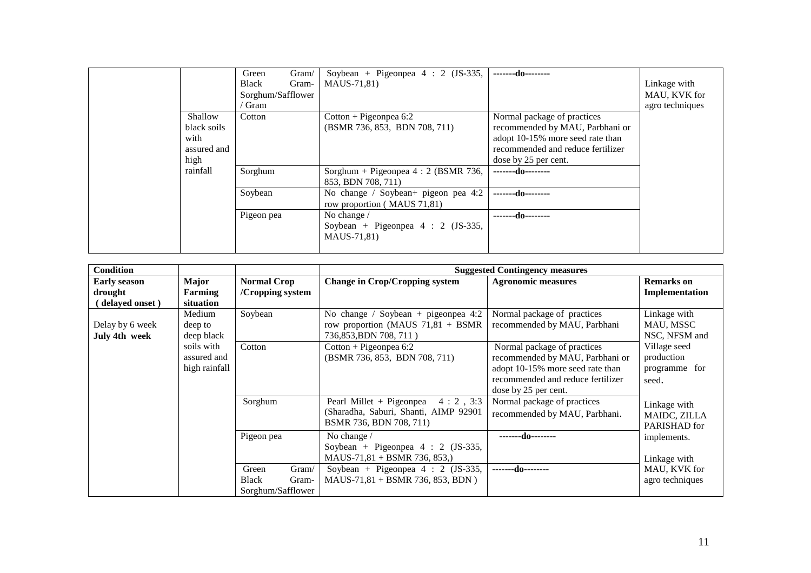|                                                       | Green<br><b>Black</b><br>Sorghum/Safflower<br>Gram | Gram/<br>Gram- | Soybean + Pigeonpea $4:2$ (JS-335,<br>MAUS-71,81)                  | -------do--------                                                                                                                                               | Linkage with<br>MAU, KVK for<br>agro techniques |
|-------------------------------------------------------|----------------------------------------------------|----------------|--------------------------------------------------------------------|-----------------------------------------------------------------------------------------------------------------------------------------------------------------|-------------------------------------------------|
| Shallow<br>black soils<br>with<br>assured and<br>high | Cotton                                             |                | $Cottom + Pigeonpea 6:2$<br>(BSMR 736, 853, BDN 708, 711)          | Normal package of practices<br>recommended by MAU, Parbhani or<br>adopt 10-15% more seed rate than<br>recommended and reduce fertilizer<br>dose by 25 per cent. |                                                 |
| rainfall                                              | Sorghum                                            |                | Sorghum + Pigeonpea 4 : 2 (BSMR 736,<br>853, BDN 708, 711)         | -------do--------                                                                                                                                               |                                                 |
|                                                       | Soybean                                            |                | No change / Soybean+ pigeon pea 4:2<br>row proportion (MAUS 71,81) | -------do--------                                                                                                                                               |                                                 |
|                                                       | Pigeon pea                                         |                | No change /<br>Soybean + Pigeonpea $4:2$ (JS-335,<br>MAUS-71,81)   | -------do--------                                                                                                                                               |                                                 |

| <b>Condition</b>                 |                                            |                                                              |                                                                                                          | <b>Suggested Contingency measures</b>                                                                                                                           |                                                      |
|----------------------------------|--------------------------------------------|--------------------------------------------------------------|----------------------------------------------------------------------------------------------------------|-----------------------------------------------------------------------------------------------------------------------------------------------------------------|------------------------------------------------------|
| <b>Early season</b>              | Major                                      | <b>Normal Crop</b>                                           | <b>Change in Crop/Cropping system</b>                                                                    | <b>Agronomic measures</b>                                                                                                                                       | <b>Remarks</b> on                                    |
| drought                          | Farming                                    | /Cropping system                                             |                                                                                                          |                                                                                                                                                                 | Implementation                                       |
| delayed onset)                   | situation                                  |                                                              |                                                                                                          |                                                                                                                                                                 |                                                      |
| Delay by 6 week<br>July 4th week | Medium<br>deep to<br>deep black            | Soybean                                                      | No change / Soybean + pigeonpea $4:2$<br>row proportion (MAUS $71,81 + BSMR$ )<br>736,853, BDN 708, 711) | Normal package of practices<br>recommended by MAU, Parbhani                                                                                                     | Linkage with<br>MAU, MSSC<br>NSC, NFSM and           |
|                                  | soils with<br>assured and<br>high rainfall | Cotton                                                       | Cotton + Pigeonpea 6:2<br>(BSMR 736, 853, BDN 708, 711)                                                  | Normal package of practices<br>recommended by MAU, Parbhani or<br>adopt 10-15% more seed rate than<br>recommended and reduce fertilizer<br>dose by 25 per cent. | Village seed<br>production<br>programme for<br>seed. |
|                                  |                                            | Sorghum                                                      | Pearl Millet + Pigeonpea<br>4:2.3:3<br>(Sharadha, Saburi, Shanti, AIMP 92901<br>BSMR 736, BDN 708, 711)  | Normal package of practices<br>recommended by MAU, Parbhani.                                                                                                    | Linkage with<br>MAIDC, ZILLA<br>PARISHAD for         |
|                                  |                                            | Pigeon pea                                                   | No change /<br>Soybean + Pigeonpea $4:2$ (JS-335,<br>MAUS-71,81 + BSMR 736, 853,)                        | -------do--------                                                                                                                                               | implements.<br>Linkage with                          |
|                                  |                                            | Green<br>Gram/<br><b>Black</b><br>Gram-<br>Sorghum/Safflower | Soybean + Pigeonpea $4:2$ (JS-335,<br>$MAUS-71,81 + BSMR 736, 853, BDN$ )                                | -------do--------                                                                                                                                               | MAU, KVK for<br>agro techniques                      |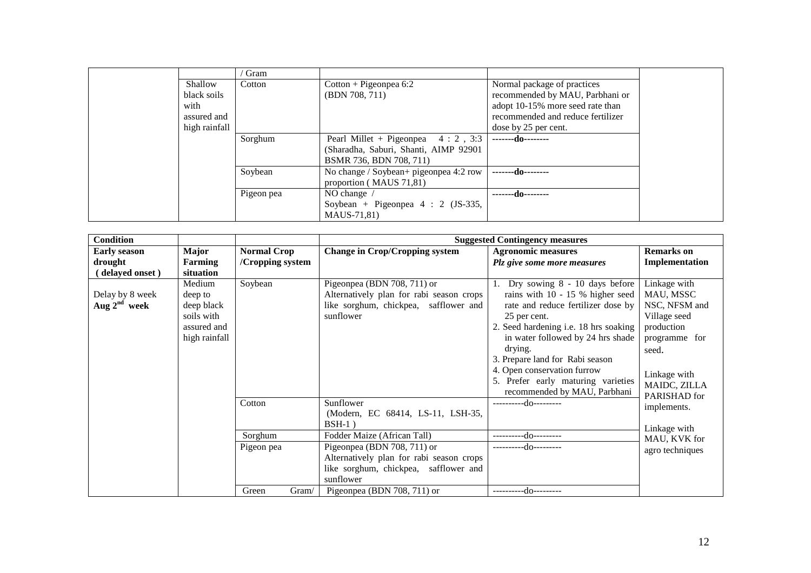|               | Gram       |                                        |                                   |  |
|---------------|------------|----------------------------------------|-----------------------------------|--|
| Shallow       | Cotton     | $Cottom + Pigeonpea 6:2$               | Normal package of practices       |  |
| black soils   |            | (BDN 708, 711)                         | recommended by MAU, Parbhani or   |  |
| with          |            |                                        | adopt 10-15% more seed rate than  |  |
| assured and   |            |                                        | recommended and reduce fertilizer |  |
| high rainfall |            |                                        | dose by 25 per cent.              |  |
|               | Sorghum    | Pearl Millet + Pigeonpea 4 : 2, 3:3    | -------do--------                 |  |
|               |            | (Sharadha, Saburi, Shanti, AIMP 92901  |                                   |  |
|               |            | BSMR 736, BDN 708, 711)                |                                   |  |
|               | Soybean    | No change / Soybean+ pigeonpea 4:2 row | -------do--------                 |  |
|               |            | proportion (MAUS 71,81)                |                                   |  |
|               | Pigeon pea | NO change $\land$                      | -------do--------                 |  |
|               |            | Soybean + Pigeonpea $4:2$ (JS-335,     |                                   |  |
|               |            | MAUS-71,81)                            |                                   |  |

| <b>Condition</b>    |                |                    |                                          | <b>Suggested Contingency measures</b> |                   |
|---------------------|----------------|--------------------|------------------------------------------|---------------------------------------|-------------------|
| <b>Early season</b> | <b>Major</b>   | <b>Normal Crop</b> | <b>Change in Crop/Cropping system</b>    | <b>Agronomic measures</b>             | <b>Remarks</b> on |
| drought             | <b>Farming</b> | /Cropping system   |                                          | Plz give some more measures           | Implementation    |
| (delayed onset)     | situation      |                    |                                          |                                       |                   |
|                     | Medium         | Soybean            | Pigeonpea (BDN 708, 711) or              | Dry sowing 8 - 10 days before         | Linkage with      |
| Delay by 8 week     | deep to        |                    | Alternatively plan for rabi season crops | rains with 10 - 15 % higher seed      | MAU, MSSC         |
| Aug $2nd$ week      | deep black     |                    | like sorghum, chickpea, safflower and    | rate and reduce fertilizer dose by    | NSC, NFSM and     |
|                     | soils with     |                    | sunflower                                | 25 per cent.                          | Village seed      |
|                     | assured and    |                    |                                          | 2. Seed hardening i.e. 18 hrs soaking | production        |
|                     | high rainfall  |                    |                                          | in water followed by 24 hrs shade     | programme for     |
|                     |                |                    |                                          | drying.                               | seed.             |
|                     |                |                    |                                          | 3. Prepare land for Rabi season       |                   |
|                     |                |                    |                                          | 4. Open conservation furrow           | Linkage with      |
|                     |                |                    |                                          | 5. Prefer early maturing varieties    | MAIDC, ZILLA      |
|                     |                |                    |                                          | recommended by MAU, Parbhani          | PARISHAD for      |
|                     |                | Cotton             | Sunflower                                | ----------do---------                 | implements.       |
|                     |                |                    | (Modern, EC 68414, LS-11, LSH-35,        |                                       |                   |
|                     |                |                    | $BSH-1$ )                                |                                       | Linkage with      |
|                     |                | Sorghum            | Fodder Maize (African Tall)              | ----------do---------                 | MAU, KVK for      |
|                     |                | Pigeon pea         | Pigeonpea (BDN 708, 711) or              | ----------do---------                 | agro techniques   |
|                     |                |                    | Alternatively plan for rabi season crops |                                       |                   |
|                     |                |                    | like sorghum, chickpea, safflower and    |                                       |                   |
|                     |                |                    | sunflower                                |                                       |                   |
|                     |                | Green<br>Gram/     | Pigeonpea (BDN 708, 711) or              | ----------do---------                 |                   |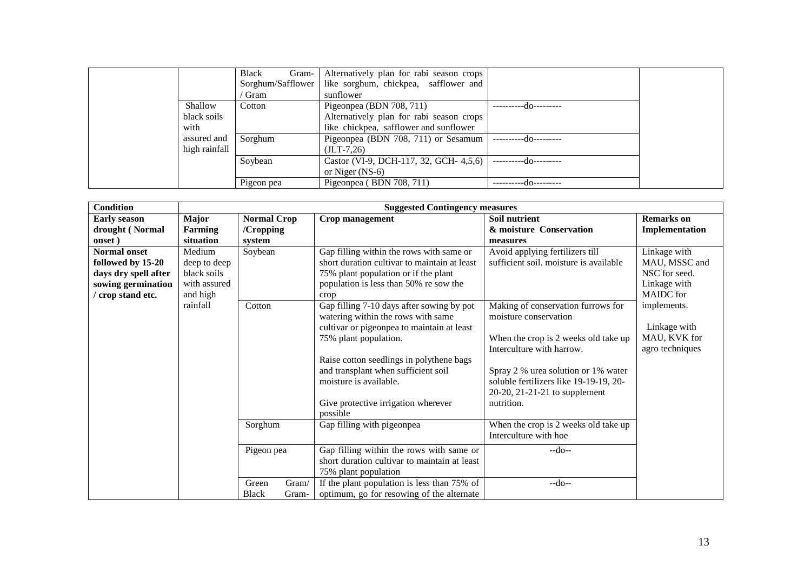|               | Black<br>Gram-    | Alternatively plan for rabi season crops |                        |  |
|---------------|-------------------|------------------------------------------|------------------------|--|
|               | Sorghum/Safflower | like sorghum, chickpea, safflower and    |                        |  |
|               | Gram              | sunflower                                |                        |  |
| Shallow       | Cotton            | Pigeonpea (BDN 708, 711)                 | --do--------           |  |
| black soils   |                   | Alternatively plan for rabi season crops |                        |  |
| with          |                   | like chickpea, safflower and sunflower   |                        |  |
| assured and   | Sorghum           | Pigeonpea (BDN 708, 711) or Sesamum      | ----------do---------  |  |
| high rainfall |                   | $(JLT-7.26)$                             |                        |  |
|               | Soybean           | Castor (VI-9, DCH-117, 32, GCH- 4,5,6)   | -----------do--------- |  |
|               |                   | or Niger $(NS-6)$                        |                        |  |
|               | Pigeon pea        | Pigeonpea (BDN 708, 711)                 | do---------            |  |

| <b>Condition</b>                                                                                            |                                                                   |                                           | <b>Suggested Contingency measures</b>                                                                                                                                                                                                                                                                                  |                                                                                                                                                                                                                                                                  |                                                                             |
|-------------------------------------------------------------------------------------------------------------|-------------------------------------------------------------------|-------------------------------------------|------------------------------------------------------------------------------------------------------------------------------------------------------------------------------------------------------------------------------------------------------------------------------------------------------------------------|------------------------------------------------------------------------------------------------------------------------------------------------------------------------------------------------------------------------------------------------------------------|-----------------------------------------------------------------------------|
| <b>Early season</b><br>drought (Normal<br>onset)                                                            | Major<br>Farming<br>situation                                     | <b>Normal Crop</b><br>/Cropping<br>system | Crop management                                                                                                                                                                                                                                                                                                        | Soil nutrient<br>& moisture Conservation<br>measures                                                                                                                                                                                                             | <b>Remarks</b> on<br>Implementation                                         |
| <b>Normal onset</b><br>followed by 15-20<br>days dry spell after<br>sowing germination<br>' crop stand etc. | Medium<br>deep to deep<br>black soils<br>with assured<br>and high | Soybean                                   | Gap filling within the rows with same or<br>short duration cultivar to maintain at least<br>75% plant population or if the plant<br>population is less than 50% re sow the<br>crop                                                                                                                                     | Avoid applying fertilizers till<br>sufficient soil. moisture is available                                                                                                                                                                                        | Linkage with<br>MAU, MSSC and<br>NSC for seed.<br>Linkage with<br>MAIDC for |
|                                                                                                             | rainfall                                                          | Cotton                                    | Gap filling 7-10 days after sowing by pot<br>watering within the rows with same<br>cultivar or pigeonpea to maintain at least<br>75% plant population.<br>Raise cotton seedlings in polythene bags<br>and transplant when sufficient soil<br>moisture is available.<br>Give protective irrigation wherever<br>possible | Making of conservation furrows for<br>moisture conservation<br>When the crop is 2 weeks old take up<br>Interculture with harrow.<br>Spray 2 % urea solution or 1% water<br>soluble fertilizers like 19-19-19, 20-<br>20-20, 21-21-21 to supplement<br>nutrition. | implements.<br>Linkage with<br>MAU, KVK for<br>agro techniques              |
|                                                                                                             |                                                                   | Sorghum<br>Pigeon pea                     | Gap filling with pigeonpea<br>Gap filling within the rows with same or<br>short duration cultivar to maintain at least<br>75% plant population                                                                                                                                                                         | When the crop is 2 weeks old take up<br>Interculture with hoe<br>$-do-$                                                                                                                                                                                          |                                                                             |
|                                                                                                             |                                                                   | Green<br>Gram/<br><b>Black</b><br>Gram-   | If the plant population is less than 75% of<br>optimum, go for resowing of the alternate                                                                                                                                                                                                                               | $-do-$                                                                                                                                                                                                                                                           |                                                                             |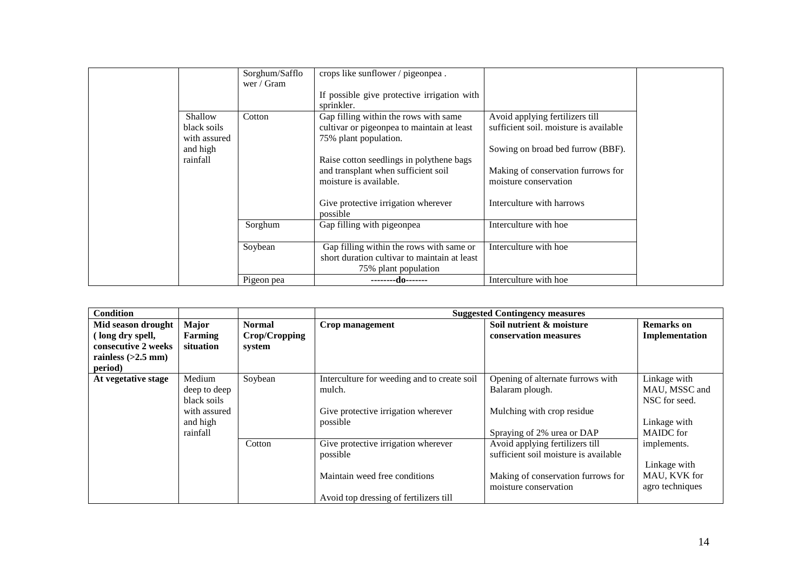|                                                    | Sorghum/Safflo<br>wer / Gram | crops like sunflower / pigeonpea.                                                                                |                                                                                                                |  |
|----------------------------------------------------|------------------------------|------------------------------------------------------------------------------------------------------------------|----------------------------------------------------------------------------------------------------------------|--|
|                                                    |                              | If possible give protective irrigation with<br>sprinkler.                                                        |                                                                                                                |  |
| Shallow<br>black soils<br>with assured<br>and high | Cotton                       | Gap filling within the rows with same<br>cultivar or pigeonpea to maintain at least<br>75% plant population.     | Avoid applying fertilizers till<br>sufficient soil. moisture is available<br>Sowing on broad bed furrow (BBF). |  |
| rainfall                                           |                              | Raise cotton seedlings in polythene bags<br>and transplant when sufficient soil<br>moisture is available.        | Making of conservation furrows for<br>moisture conservation                                                    |  |
|                                                    |                              | Give protective irrigation wherever<br>possible                                                                  | Interculture with harrows                                                                                      |  |
|                                                    | Sorghum                      | Gap filling with pigeonpea                                                                                       | Interculture with hoe                                                                                          |  |
|                                                    | Soybean                      | Gap filling within the rows with same or<br>short duration cultivar to maintain at least<br>75% plant population | Interculture with hoe                                                                                          |  |
|                                                    | Pigeon pea                   | --------do-------                                                                                                | Interculture with hoe.                                                                                         |  |

| <b>Condition</b>     |              |               | <b>Suggested Contingency measures</b>       |                                       |                   |  |  |
|----------------------|--------------|---------------|---------------------------------------------|---------------------------------------|-------------------|--|--|
| Mid season drought   | Major        | <b>Normal</b> | Crop management                             | Soil nutrient & moisture              | <b>Remarks</b> on |  |  |
| (long dry spell,     | Farming      | Crop/Cropping |                                             | conservation measures                 | Implementation    |  |  |
| consecutive 2 weeks  | situation    | system        |                                             |                                       |                   |  |  |
| rainless $(>2.5$ mm) |              |               |                                             |                                       |                   |  |  |
| period)              |              |               |                                             |                                       |                   |  |  |
| At vegetative stage  | Medium       | Soybean       | Interculture for weeding and to create soil | Opening of alternate furrows with     | Linkage with      |  |  |
|                      | deep to deep |               | mulch.                                      | Balaram plough.                       | MAU, MSSC and     |  |  |
|                      | black soils  |               |                                             |                                       | NSC for seed.     |  |  |
|                      | with assured |               | Give protective irrigation wherever         | Mulching with crop residue            |                   |  |  |
|                      | and high     |               | possible                                    |                                       | Linkage with      |  |  |
|                      | rainfall     |               |                                             | Spraying of 2% urea or DAP            | <b>MAIDC</b> for  |  |  |
|                      |              | Cotton        | Give protective irrigation wherever         | Avoid applying fertilizers till       | implements.       |  |  |
|                      |              |               | possible                                    | sufficient soil moisture is available |                   |  |  |
|                      |              |               |                                             |                                       | Linkage with      |  |  |
|                      |              |               | Maintain weed free conditions               | Making of conservation furrows for    | MAU, KVK for      |  |  |
|                      |              |               |                                             | moisture conservation                 | agro techniques   |  |  |
|                      |              |               | Avoid top dressing of fertilizers till      |                                       |                   |  |  |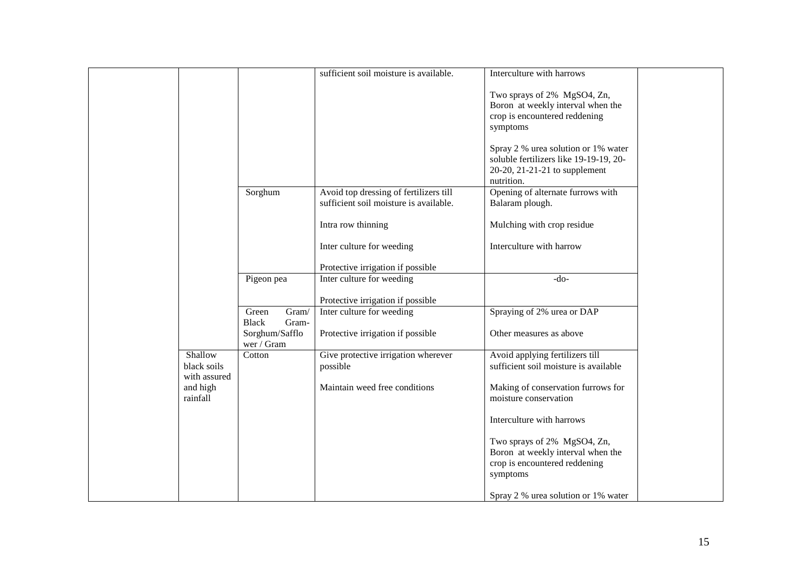|              |                              | sufficient soil moisture is available.                         | Interculture with harrows                                        |
|--------------|------------------------------|----------------------------------------------------------------|------------------------------------------------------------------|
|              |                              |                                                                | Two sprays of 2% MgSO4, Zn,                                      |
|              |                              |                                                                | Boron at weekly interval when the                                |
|              |                              |                                                                | crop is encountered reddening                                    |
|              |                              |                                                                | symptoms                                                         |
|              |                              |                                                                |                                                                  |
|              |                              |                                                                | Spray 2 % urea solution or 1% water                              |
|              |                              |                                                                | soluble fertilizers like 19-19-19, 20-                           |
|              |                              |                                                                | 20-20, 21-21-21 to supplement                                    |
|              |                              |                                                                | nutrition.                                                       |
|              | Sorghum                      | Avoid top dressing of fertilizers till                         | Opening of alternate furrows with                                |
|              |                              | sufficient soil moisture is available.                         | Balaram plough.                                                  |
|              |                              | Intra row thinning                                             | Mulching with crop residue                                       |
|              |                              |                                                                |                                                                  |
|              |                              | Inter culture for weeding                                      | Interculture with harrow                                         |
|              |                              |                                                                |                                                                  |
|              |                              | Protective irrigation if possible                              |                                                                  |
|              | Pigeon pea                   | Inter culture for weeding                                      | $-do-$                                                           |
|              |                              |                                                                |                                                                  |
|              | Green<br>$\overline{G}$ ram/ | Protective irrigation if possible<br>Inter culture for weeding | Spraying of 2% urea or DAP                                       |
|              | <b>Black</b><br>Gram-        |                                                                |                                                                  |
|              | Sorghum/Safflo               | Protective irrigation if possible                              | Other measures as above                                          |
|              | wer / Gram                   |                                                                |                                                                  |
| Shallow      | Cotton                       | Give protective irrigation wherever                            | Avoid applying fertilizers till                                  |
| black soils  |                              | possible                                                       | sufficient soil moisture is available                            |
| with assured |                              |                                                                |                                                                  |
| and high     |                              | Maintain weed free conditions                                  | Making of conservation furrows for                               |
| rainfall     |                              |                                                                | moisture conservation                                            |
|              |                              |                                                                |                                                                  |
|              |                              |                                                                | Interculture with harrows                                        |
|              |                              |                                                                |                                                                  |
|              |                              |                                                                | Two sprays of 2% MgSO4, Zn,<br>Boron at weekly interval when the |
|              |                              |                                                                | crop is encountered reddening                                    |
|              |                              |                                                                | symptoms                                                         |
|              |                              |                                                                |                                                                  |
|              |                              |                                                                | Spray 2 % urea solution or 1% water                              |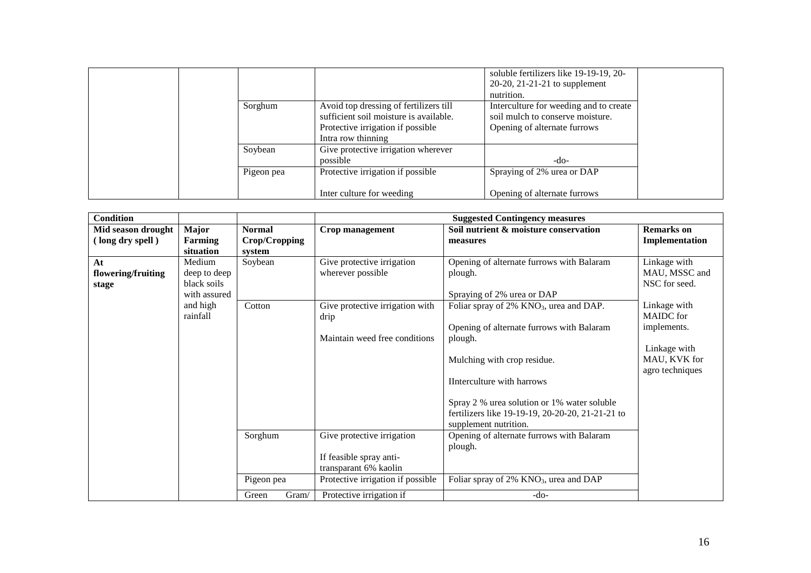|            |                                        | soluble fertilizers like 19-19-19, 20- |
|------------|----------------------------------------|----------------------------------------|
|            |                                        | $20-20$ , $21-21-21$ to supplement     |
|            |                                        | nutrition.                             |
| Sorghum    | Avoid top dressing of fertilizers till | Interculture for weeding and to create |
|            | sufficient soil moisture is available. | soil mulch to conserve moisture.       |
|            | Protective irrigation if possible      | Opening of alternate furrows           |
|            | Intra row thinning                     |                                        |
| Soybean    | Give protective irrigation wherever    |                                        |
|            | possible                               | -do-                                   |
| Pigeon pea | Protective irrigation if possible      | Spraying of 2% urea or DAP             |
|            |                                        |                                        |
|            | Inter culture for weeding              | Opening of alternate furrows           |

| <b>Condition</b>                       |                                                       |                                          | <b>Suggested Contingency measures</b>                                                                               |                                                                                                                                                                                                  |                                                 |  |  |
|----------------------------------------|-------------------------------------------------------|------------------------------------------|---------------------------------------------------------------------------------------------------------------------|--------------------------------------------------------------------------------------------------------------------------------------------------------------------------------------------------|-------------------------------------------------|--|--|
| Mid season drought<br>(long dry spell) | <b>Major</b><br><b>Farming</b><br>situation           | <b>Normal</b><br>Crop/Cropping<br>system | Crop management                                                                                                     | Soil nutrient & moisture conservation<br>measures                                                                                                                                                | <b>Remarks</b> on<br>Implementation             |  |  |
| At<br>flowering/fruiting<br>stage      | Medium<br>deep to deep<br>black soils<br>with assured | Soybean                                  | Give protective irrigation<br>wherever possible                                                                     | Opening of alternate furrows with Balaram<br>plough.<br>Spraying of 2% urea or DAP                                                                                                               | Linkage with<br>MAU, MSSC and<br>NSC for seed.  |  |  |
|                                        | and high<br>rainfall                                  | Cotton                                   | Give protective irrigation with<br>drip                                                                             | Foliar spray of 2% KNO <sub>3</sub> , urea and DAP.<br>Opening of alternate furrows with Balaram                                                                                                 | Linkage with<br><b>MAIDC</b> for<br>implements. |  |  |
|                                        |                                                       |                                          | Maintain weed free conditions                                                                                       | plough.<br>Mulching with crop residue.<br>IInterculture with harrows<br>Spray 2 % urea solution or 1% water soluble<br>fertilizers like 19-19-19, 20-20-20, 21-21-21 to<br>supplement nutrition. | Linkage with<br>MAU, KVK for<br>agro techniques |  |  |
|                                        |                                                       | Sorghum<br>Pigeon pea                    | Give protective irrigation<br>If feasible spray anti-<br>transparant 6% kaolin<br>Protective irrigation if possible | Opening of alternate furrows with Balaram<br>plough.<br>Foliar spray of 2% KNO <sub>3</sub> , urea and DAP                                                                                       |                                                 |  |  |
|                                        |                                                       | Gram/<br>Green                           | Protective irrigation if                                                                                            | $-do-$                                                                                                                                                                                           |                                                 |  |  |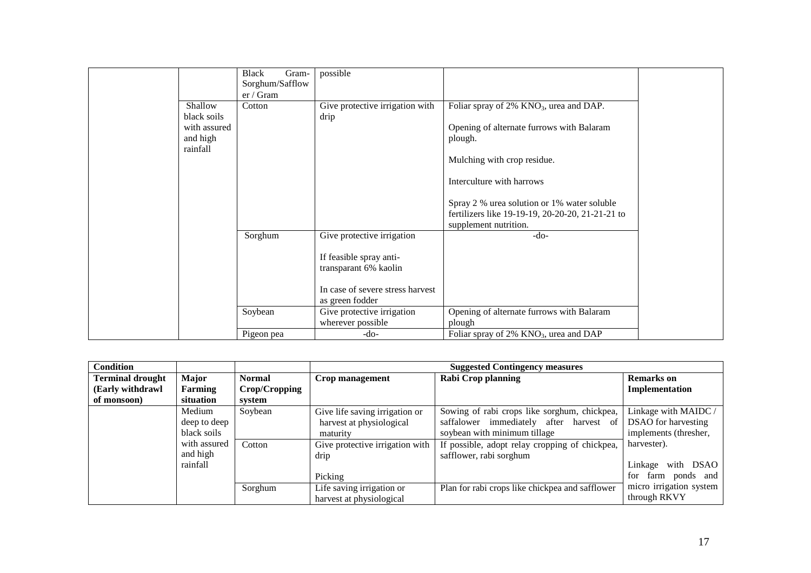|                      | Black<br>Gram-  | possible                         |                                                       |
|----------------------|-----------------|----------------------------------|-------------------------------------------------------|
|                      | Sorghum/Safflow |                                  |                                                       |
|                      | er / Gram       |                                  |                                                       |
| Shallow              | Cotton          | Give protective irrigation with  | Foliar spray of 2% KNO <sub>3</sub> , urea and DAP.   |
| black soils          |                 | drip                             |                                                       |
| with assured         |                 |                                  | Opening of alternate furrows with Balaram             |
| and high<br>rainfall |                 |                                  | plough.                                               |
|                      |                 |                                  | Mulching with crop residue.                           |
|                      |                 |                                  | Interculture with harrows                             |
|                      |                 |                                  | Spray 2 % urea solution or 1% water soluble           |
|                      |                 |                                  | fertilizers like 19-19-19, 20-20-20, 21-21-21 to      |
|                      |                 |                                  | supplement nutrition.                                 |
|                      | Sorghum         | Give protective irrigation       | -do-                                                  |
|                      |                 | If feasible spray anti-          |                                                       |
|                      |                 | transparant 6% kaolin            |                                                       |
|                      |                 |                                  |                                                       |
|                      |                 | In case of severe stress harvest |                                                       |
|                      |                 | as green fodder                  |                                                       |
|                      | Soybean         | Give protective irrigation       | Opening of alternate furrows with Balaram             |
|                      |                 | wherever possible                | plough                                                |
|                      | Pigeon pea      | $-do-$                           | Foliar spray of $2\%$ KNO <sub>3</sub> , urea and DAP |

| <b>Condition</b>        |              |               |                                 | <b>Suggested Contingency measures</b>           |                          |  |  |
|-------------------------|--------------|---------------|---------------------------------|-------------------------------------------------|--------------------------|--|--|
| <b>Terminal drought</b> | Major        | <b>Normal</b> | Crop management                 | <b>Rabi Crop planning</b>                       | <b>Remarks</b> on        |  |  |
| (Early withdrawl        | Farming      | Crop/Cropping |                                 |                                                 | <b>Implementation</b>    |  |  |
| of monsoon)             | situation    | system        |                                 |                                                 |                          |  |  |
|                         | Medium       | Soybean       | Give life saving irrigation or  | Sowing of rabi crops like sorghum, chickpea,    | Linkage with MAIDC /     |  |  |
|                         | deep to deep |               | harvest at physiological        | saffalower immediately after<br>harvest<br>of 1 | DSAO for harvesting      |  |  |
|                         | black soils  |               | maturity                        | soybean with minimum tillage                    | implements (thresher,    |  |  |
|                         | with assured | Cotton        | Give protective irrigation with | If possible, adopt relay cropping of chickpea,  | harvester).              |  |  |
|                         | and high     |               | drip                            | safflower, rabi sorghum                         |                          |  |  |
|                         | rainfall     |               |                                 |                                                 | DSAO<br>Linkage<br>with  |  |  |
|                         |              |               | Picking                         |                                                 | for<br>ponds and<br>farm |  |  |
|                         |              | Sorghum       | Life saving irrigation or       | Plan for rabi crops like chickpea and safflower | micro irrigation system  |  |  |
|                         |              |               | harvest at physiological        |                                                 | through RKVY             |  |  |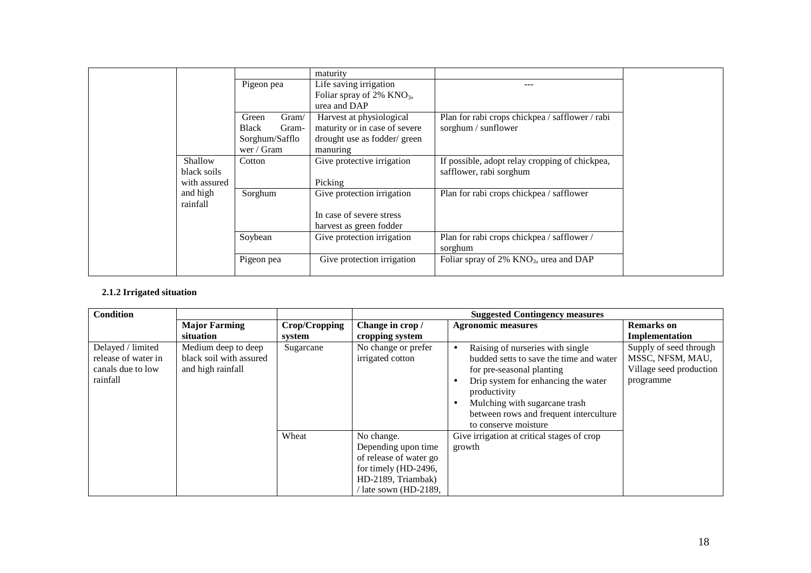|                                        | Pigeon pea                                                              | maturity<br>Life saving irrigation                                                                    |                                                                           |
|----------------------------------------|-------------------------------------------------------------------------|-------------------------------------------------------------------------------------------------------|---------------------------------------------------------------------------|
|                                        |                                                                         | Foliar spray of $2\%$ KNO <sub>3</sub> ,<br>urea and DAP                                              |                                                                           |
|                                        | Green<br>Gram/<br><b>Black</b><br>Gram-<br>Sorghum/Safflo<br>wer / Gram | Harvest at physiological<br>maturity or in case of severe<br>drought use as fodder/ green<br>manuring | Plan for rabi crops chickpea / safflower / rabi<br>sorghum / sunflower    |
| Shallow<br>black soils<br>with assured | Cotton                                                                  | Give protective irrigation<br>Picking                                                                 | If possible, adopt relay cropping of chickpea,<br>safflower, rabi sorghum |
| and high<br>rainfall                   | Sorghum                                                                 | Give protection irrigation<br>In case of severe stress<br>harvest as green fodder                     | Plan for rabi crops chickpea / safflower                                  |
|                                        | Soybean                                                                 | Give protection irrigation                                                                            | Plan for rabi crops chickpea / safflower /<br>sorghum                     |
|                                        | Pigeon pea                                                              | Give protection irrigation                                                                            | Foliar spray of 2% KNO <sub>3</sub> , urea and DAP                        |

#### **2.1.2 Irrigated situation**

| <b>Condition</b>                                                          |                                                                     |               |                                                                                                                                    | <b>Suggested Contingency measures</b>                                                                                                                                                                                                                              |                                                                                    |
|---------------------------------------------------------------------------|---------------------------------------------------------------------|---------------|------------------------------------------------------------------------------------------------------------------------------------|--------------------------------------------------------------------------------------------------------------------------------------------------------------------------------------------------------------------------------------------------------------------|------------------------------------------------------------------------------------|
|                                                                           | <b>Major Farming</b>                                                | Crop/Cropping | Change in crop /                                                                                                                   | <b>Agronomic measures</b>                                                                                                                                                                                                                                          | <b>Remarks</b> on                                                                  |
|                                                                           | situation                                                           | system        | cropping system                                                                                                                    |                                                                                                                                                                                                                                                                    | Implementation                                                                     |
| Delayed / limited<br>release of water in<br>canals due to low<br>rainfall | Medium deep to deep<br>black soil with assured<br>and high rainfall | Sugarcane     | No change or prefer<br>irrigated cotton                                                                                            | Raising of nurseries with single<br>budded setts to save the time and water<br>for pre-seasonal planting<br>Drip system for enhancing the water<br>productivity<br>Mulching with sugarcane trash<br>between rows and frequent interculture<br>to conserve moisture | Supply of seed through<br>MSSC, NFSM, MAU,<br>Village seed production<br>programme |
|                                                                           |                                                                     | Wheat         | No change.<br>Depending upon time<br>of release of water go<br>for timely (HD-2496,<br>HD-2189, Triambak)<br>/ late sown (HD-2189, | Give irrigation at critical stages of crop<br>growth                                                                                                                                                                                                               |                                                                                    |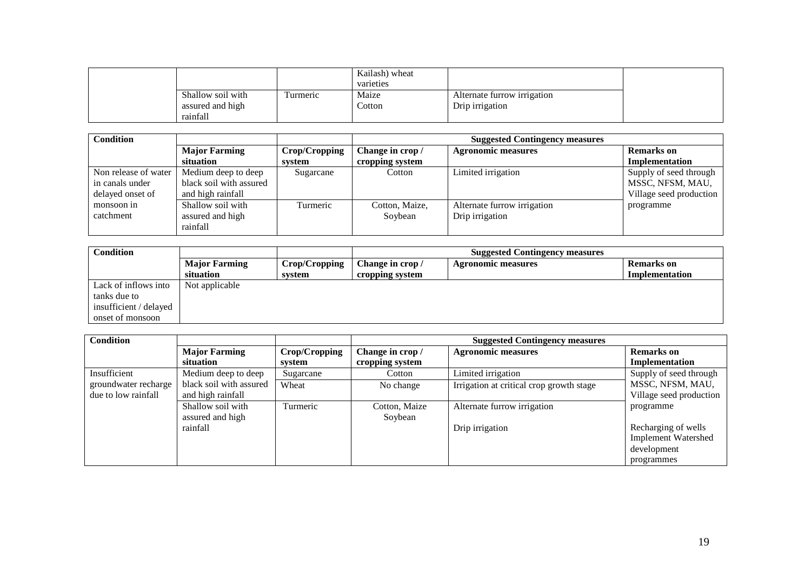|                   |           | Kailash) wheat<br>varieties |                             |
|-------------------|-----------|-----------------------------|-----------------------------|
| Shallow soil with | l'urmeric | Maize                       | Alternate furrow irrigation |
| assured and high  |           | Cotton                      | Drip irrigation             |
| rainfall          |           |                             |                             |

| <b>Condition</b>     |                         |               |                  | <b>Suggested Contingency measures</b> |                         |
|----------------------|-------------------------|---------------|------------------|---------------------------------------|-------------------------|
|                      | <b>Major Farming</b>    | Crop/Cropping | Change in crop / | <b>Agronomic measures</b>             | <b>Remarks</b> on       |
|                      | situation               | system        | cropping system  |                                       | Implementation          |
| Non release of water | Medium deep to deep     | Sugarcane     | Cotton           | Limited irrigation                    | Supply of seed through  |
| in canals under      | black soil with assured |               |                  |                                       | MSSC, NFSM, MAU,        |
| delayed onset of     | and high rainfall       |               |                  |                                       | Village seed production |
| monsoon in           | Shallow soil with       | Turmeric      | Cotton, Maize,   | Alternate furrow irrigation           | programme               |
| catchment            | assured and high        |               | Soybean          | Drip irrigation                       |                         |
|                      | rainfall                |               |                  |                                       |                         |

| <b>Condition</b>       |                      |               | <b>Suggested Contingency measures</b> |                           |                |  |
|------------------------|----------------------|---------------|---------------------------------------|---------------------------|----------------|--|
|                        | <b>Major Farming</b> | Crop/Cropping | Change in crop /                      | <b>Agronomic measures</b> | Remarks on     |  |
|                        | situation            | system        | cropping system                       |                           | Implementation |  |
| Lack of inflows into   | Not applicable       |               |                                       |                           |                |  |
| tanks due to           |                      |               |                                       |                           |                |  |
| insufficient / delayed |                      |               |                                       |                           |                |  |
| onset of monsoon       |                      |               |                                       |                           |                |  |

| <b>Condition</b>     |                         |               |                  | <b>Suggested Contingency measures</b>    |                            |
|----------------------|-------------------------|---------------|------------------|------------------------------------------|----------------------------|
|                      | <b>Major Farming</b>    | Crop/Cropping | Change in crop / | <b>Agronomic measures</b>                | <b>Remarks</b> on          |
|                      | situation               | system        | cropping system  |                                          | Implementation             |
| Insufficient         | Medium deep to deep     | Sugarcane     | Cotton           | Limited irrigation                       | Supply of seed through     |
| groundwater recharge | black soil with assured | Wheat         | No change        | Irrigation at critical crop growth stage | MSSC, NFSM, MAU,           |
| due to low rainfall  | and high rainfall       |               |                  |                                          | Village seed production    |
|                      | Shallow soil with       | Turmeric      | Cotton, Maize    | Alternate furrow irrigation              | programme                  |
|                      | assured and high        |               | Soybean          |                                          |                            |
|                      | rainfall                |               |                  | Drip irrigation                          | Recharging of wells        |
|                      |                         |               |                  |                                          | <b>Implement Watershed</b> |
|                      |                         |               |                  |                                          | development                |
|                      |                         |               |                  |                                          | programmes                 |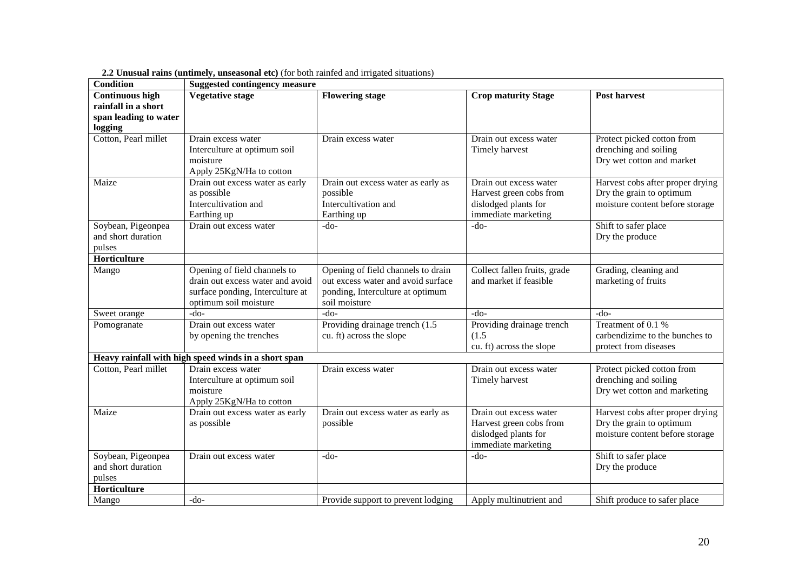| <b>Condition</b>       | <b>Suggested contingency measure</b>                 |                                    |                              |                                  |
|------------------------|------------------------------------------------------|------------------------------------|------------------------------|----------------------------------|
| <b>Continuous high</b> | <b>Vegetative stage</b>                              | <b>Flowering stage</b>             | <b>Crop maturity Stage</b>   | <b>Post harvest</b>              |
| rainfall in a short    |                                                      |                                    |                              |                                  |
| span leading to water  |                                                      |                                    |                              |                                  |
| logging                |                                                      |                                    |                              |                                  |
| Cotton, Pearl millet   | Drain excess water                                   | Drain excess water                 | Drain out excess water       | Protect picked cotton from       |
|                        | Interculture at optimum soil                         |                                    | Timely harvest               | drenching and soiling            |
|                        | moisture                                             |                                    |                              | Dry wet cotton and market        |
|                        | Apply 25KgN/Ha to cotton                             |                                    |                              |                                  |
| Maize                  | Drain out excess water as early                      | Drain out excess water as early as | Drain out excess water       | Harvest cobs after proper drying |
|                        | as possible                                          | possible                           | Harvest green cobs from      | Dry the grain to optimum         |
|                        | Intercultivation and                                 | Intercultivation and               | dislodged plants for         | moisture content before storage  |
|                        | Earthing up                                          | Earthing up                        | immediate marketing          |                                  |
| Soybean, Pigeonpea     | Drain out excess water                               | $-do-$                             | $-do-$                       | Shift to safer place             |
| and short duration     |                                                      |                                    |                              | Dry the produce                  |
| pulses                 |                                                      |                                    |                              |                                  |
| Horticulture           |                                                      |                                    |                              |                                  |
| Mango                  | Opening of field channels to                         | Opening of field channels to drain | Collect fallen fruits, grade | Grading, cleaning and            |
|                        | drain out excess water and avoid                     | out excess water and avoid surface | and market if feasible       | marketing of fruits              |
|                        | surface ponding, Interculture at                     | ponding, Interculture at optimum   |                              |                                  |
|                        | optimum soil moisture                                | soil moisture                      |                              |                                  |
| Sweet orange           | $-do-$                                               | $-do-$                             | $-do-$                       | $-do-$                           |
| Pomogranate            | Drain out excess water                               | Providing drainage trench (1.5     | Providing drainage trench    | Treatment of 0.1 %               |
|                        | by opening the trenches                              | cu. ft) across the slope           | (1.5)                        | carbendizime to the bunches to   |
|                        |                                                      |                                    | cu. ft) across the slope     | protect from diseases            |
|                        | Heavy rainfall with high speed winds in a short span |                                    |                              |                                  |
| Cotton, Pearl millet   | Drain excess water                                   | Drain excess water                 | Drain out excess water       | Protect picked cotton from       |
|                        | Interculture at optimum soil                         |                                    | Timely harvest               | drenching and soiling            |
|                        | moisture                                             |                                    |                              | Dry wet cotton and marketing     |
|                        | Apply 25KgN/Ha to cotton                             |                                    |                              |                                  |
| Maize                  | Drain out excess water as early                      | Drain out excess water as early as | Drain out excess water       | Harvest cobs after proper drying |
|                        | as possible                                          | possible                           | Harvest green cobs from      | Dry the grain to optimum         |
|                        |                                                      |                                    | dislodged plants for         | moisture content before storage  |
|                        |                                                      |                                    | immediate marketing          |                                  |
| Soybean, Pigeonpea     | Drain out excess water                               | $-do-$                             | $-do-$                       | Shift to safer place             |
| and short duration     |                                                      |                                    |                              | Dry the produce                  |
| pulses                 |                                                      |                                    |                              |                                  |
| Horticulture           |                                                      |                                    |                              |                                  |
| Mango                  | $-do-$                                               | Provide support to prevent lodging | Apply multinutrient and      | Shift produce to safer place     |

**2.2 Unusual rains (untimely, unseasonal etc)** (for both rainfed and irrigated situations)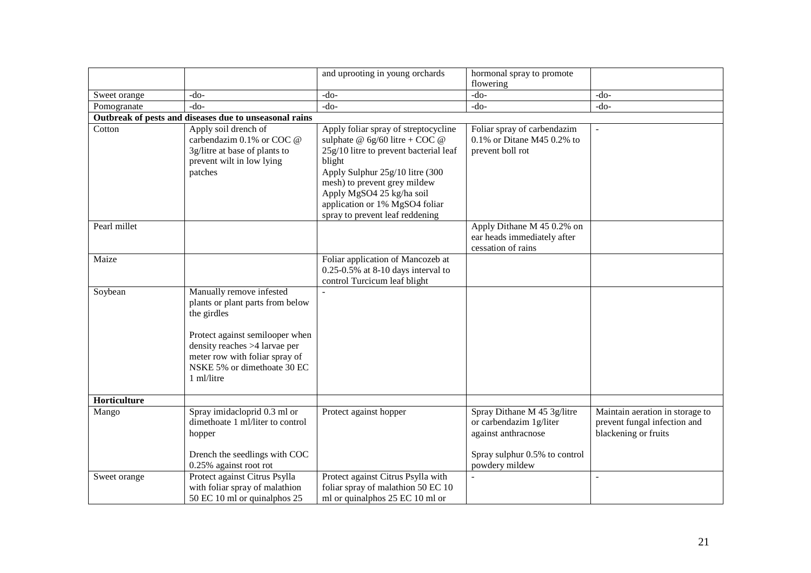|              |                                                                                                                                                                                                                                | and uprooting in young orchards                                                                                                                                                                                                                                                                   | hormonal spray to promote<br>flowering                                                                                           |                                                                                         |
|--------------|--------------------------------------------------------------------------------------------------------------------------------------------------------------------------------------------------------------------------------|---------------------------------------------------------------------------------------------------------------------------------------------------------------------------------------------------------------------------------------------------------------------------------------------------|----------------------------------------------------------------------------------------------------------------------------------|-----------------------------------------------------------------------------------------|
| Sweet orange | $-do-$                                                                                                                                                                                                                         | -do-                                                                                                                                                                                                                                                                                              | $-do-$                                                                                                                           | $-do-$                                                                                  |
| Pomogranate  | $-do-$                                                                                                                                                                                                                         | $-do-$                                                                                                                                                                                                                                                                                            | $-do-$                                                                                                                           | $-do-$                                                                                  |
|              | Outbreak of pests and diseases due to unseasonal rains                                                                                                                                                                         |                                                                                                                                                                                                                                                                                                   |                                                                                                                                  |                                                                                         |
| Cotton       | Apply soil drench of<br>carbendazim 0.1% or COC @<br>3g/litre at base of plants to<br>prevent wilt in low lying<br>patches                                                                                                     | Apply foliar spray of streptocycline<br>sulphate @ $6g/60$ litre + COC @<br>25g/10 litre to prevent bacterial leaf<br>blight<br>Apply Sulphur 25g/10 litre (300<br>mesh) to prevent grey mildew<br>Apply MgSO4 25 kg/ha soil<br>application or 1% MgSO4 foliar<br>spray to prevent leaf reddening | Foliar spray of carbendazim<br>$0.1\%$ or Ditane M45 0.2% to<br>prevent boll rot                                                 |                                                                                         |
| Pearl millet |                                                                                                                                                                                                                                |                                                                                                                                                                                                                                                                                                   | Apply Dithane M 45 0.2% on<br>ear heads immediately after<br>cessation of rains                                                  |                                                                                         |
| Maize        |                                                                                                                                                                                                                                | Foliar application of Mancozeb at<br>$0.25 - 0.5\%$ at 8-10 days interval to<br>control Turcicum leaf blight                                                                                                                                                                                      |                                                                                                                                  |                                                                                         |
| Soybean      | Manually remove infested<br>plants or plant parts from below<br>the girdles<br>Protect against semilooper when<br>density reaches >4 larvae per<br>meter row with foliar spray of<br>NSKE 5% or dimethoate 30 EC<br>1 ml/litre |                                                                                                                                                                                                                                                                                                   |                                                                                                                                  |                                                                                         |
| Horticulture |                                                                                                                                                                                                                                |                                                                                                                                                                                                                                                                                                   |                                                                                                                                  |                                                                                         |
| Mango        | Spray imidacloprid 0.3 ml or<br>dimethoate 1 ml/liter to control<br>hopper<br>Drench the seedlings with COC<br>0.25% against root rot                                                                                          | Protect against hopper                                                                                                                                                                                                                                                                            | Spray Dithane M 45 3g/litre<br>or carbendazim 1g/liter<br>against anthracnose<br>Spray sulphur 0.5% to control<br>powdery mildew | Maintain aeration in storage to<br>prevent fungal infection and<br>blackening or fruits |
| Sweet orange | Protect against Citrus Psylla<br>with foliar spray of malathion<br>50 EC 10 ml or quinalphos 25                                                                                                                                | Protect against Citrus Psylla with<br>foliar spray of malathion 50 EC 10<br>ml or quinalphos 25 EC 10 ml or                                                                                                                                                                                       |                                                                                                                                  | $\overline{\phantom{a}}$                                                                |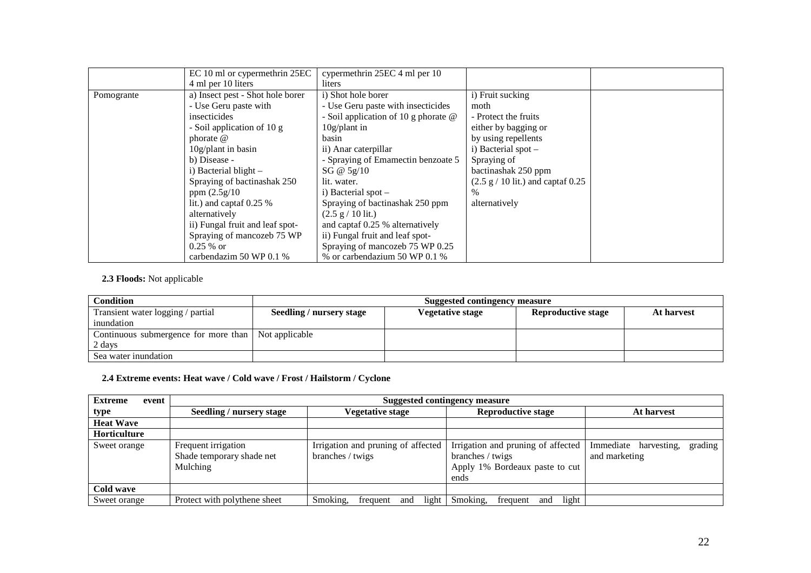|            | EC 10 ml or cypermethrin 25EC    | cypermethrin 25EC 4 ml per 10          |                                                     |  |
|------------|----------------------------------|----------------------------------------|-----------------------------------------------------|--|
|            | 4 ml per 10 liters               | liters                                 |                                                     |  |
| Pomogrante | a) Insect pest - Shot hole borer | i) Shot hole borer                     | i) Fruit sucking                                    |  |
|            | - Use Geru paste with            | - Use Geru paste with insecticides     | moth                                                |  |
|            | insecticides                     | - Soil application of 10 g phorate $@$ | - Protect the fruits                                |  |
|            | - Soil application of 10 g       | $10g$ /plant in                        | either by bagging or                                |  |
|            | phorate $\omega$                 | basin                                  | by using repellents                                 |  |
|            | $10g$ /plant in basin            | ii) Anar caterpillar                   | i) Bacterial spot -                                 |  |
|            | b) Disease -                     | - Spraying of Emamectin benzoate 5     | Spraying of                                         |  |
|            | i) Bacterial blight -            | SG @ $5g/10$                           | bactinashak 250 ppm                                 |  |
|            | Spraying of bactinashak 250      | lit. water.                            | $(2.5 \text{ g} / 10 \text{ lit.})$ and captaf 0.25 |  |
|            | ppm $(2.5g/10)$                  | i) Bacterial spot $-$                  | %                                                   |  |
|            | lit.) and captaf $0.25\%$        | Spraying of bactinashak 250 ppm        | alternatively                                       |  |
|            | alternatively                    | $(2.5 \text{ g} / 10 \text{ lit.})$    |                                                     |  |
|            | ii) Fungal fruit and leaf spot-  | and captaf 0.25 % alternatively        |                                                     |  |
|            | Spraying of mancozeb 75 WP       | ii) Fungal fruit and leaf spot-        |                                                     |  |
|            | $0.25%$ or                       | Spraying of mancozeb 75 WP 0.25        |                                                     |  |
|            | carbendazim 50 WP 0.1 %          | % or carbendazium 50 WP 0.1 %          |                                                     |  |

#### **2.3 Floods:** Not applicable

| <b>Condition</b>                                    |                          | <b>Suggested contingency measure</b> |                           |            |
|-----------------------------------------------------|--------------------------|--------------------------------------|---------------------------|------------|
| Transient water logging / partial                   | Seedling / nursery stage | <b>Vegetative stage</b>              | <b>Reproductive stage</b> | At harvest |
| inundation                                          |                          |                                      |                           |            |
| Continuous submergence for more than Not applicable |                          |                                      |                           |            |
| 2 days                                              |                          |                                      |                           |            |
| Sea water inundation                                |                          |                                      |                           |            |

#### **2.4 Extreme events: Heat wave / Cold wave / Frost / Hailstorm / Cyclone**

| <b>Extreme</b><br>event | Suggested contingency measure                                |                                                        |                                                                                                  |                                                   |
|-------------------------|--------------------------------------------------------------|--------------------------------------------------------|--------------------------------------------------------------------------------------------------|---------------------------------------------------|
| type                    | Seedling / nursery stage                                     | <i>V</i> egetative stage                               | <b>Reproductive stage</b>                                                                        | At harvest                                        |
| <b>Heat Wave</b>        |                                                              |                                                        |                                                                                                  |                                                   |
| <b>Horticulture</b>     |                                                              |                                                        |                                                                                                  |                                                   |
| Sweet orange            | Frequent irrigation<br>Shade temporary shade net<br>Mulching | Irrigation and pruning of affected<br>branches / twigs | Irrigation and pruning of affected<br>branches / twigs<br>Apply 1% Bordeaux paste to cut<br>ends | Immediate harvesting,<br>grading<br>and marketing |
| Cold wave               |                                                              |                                                        |                                                                                                  |                                                   |
| Sweet orange            | Protect with polythene sheet                                 | Smoking,<br>light<br>and<br>frequent                   | Smoking.<br>light<br>frequent<br>and                                                             |                                                   |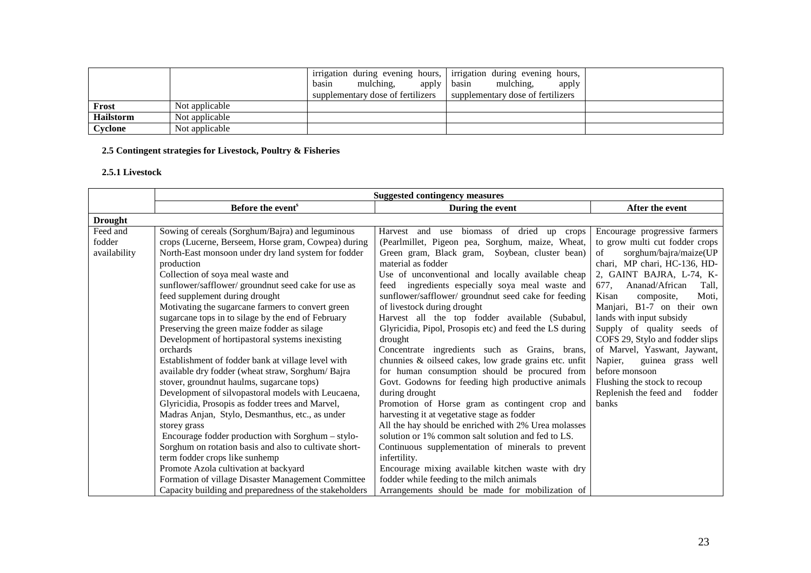|                  |                | mulching,<br>apply<br>basin<br>supplementary dose of fertilizers | irrigation during evening hours, irrigation during evening hours,<br>basin<br>mulching,<br>apply<br>supplementary dose of fertilizers |  |
|------------------|----------------|------------------------------------------------------------------|---------------------------------------------------------------------------------------------------------------------------------------|--|
| Frost            | Not applicable |                                                                  |                                                                                                                                       |  |
| <b>Hailstorm</b> | Not applicable |                                                                  |                                                                                                                                       |  |
| Cyclone          | Not applicable |                                                                  |                                                                                                                                       |  |

#### **2.5 Contingent strategies for Livestock, Poultry & Fisheries**

#### **2.5.1 Livestock**

|                |                                                        | <b>Suggested contingency measures</b>                   |                                  |
|----------------|--------------------------------------------------------|---------------------------------------------------------|----------------------------------|
|                | Before the event <sup>s</sup>                          | During the event                                        | After the event                  |
| <b>Drought</b> |                                                        |                                                         |                                  |
| Feed and       | Sowing of cereals (Sorghum/Bajra) and leguminous       | biomass of dried<br>Harvest and<br>use<br>up crops      | Encourage progressive farmers    |
| fodder         | crops (Lucerne, Berseem, Horse gram, Cowpea) during    | (Pearlmillet, Pigeon pea, Sorghum, maize, Wheat,        | to grow multi cut fodder crops   |
| availability   | North-East monsoon under dry land system for fodder    | Green gram, Black gram, Soybean, cluster bean)          | sorghum/bajra/maize(UP<br>of     |
|                | production                                             | material as fodder                                      | chari, MP chari, HC-136, HD-     |
|                | Collection of soya meal waste and                      | Use of unconventional and locally available cheap       | 2, GAINT BAJRA, L-74, K-         |
|                | sunflower/safflower/ groundnut seed cake for use as    | feed ingredients especially soya meal waste and         | Ananad/African<br>677.<br>Tall,  |
|                | feed supplement during drought                         | sunflower/safflower/ groundnut seed cake for feeding    | Kisan<br>composite,<br>Moti,     |
|                | Motivating the sugarcane farmers to convert green      | of livestock during drought                             | Manjari, B1-7 on their own       |
|                | sugarcane tops in to silage by the end of February     | Harvest all the top fodder available (Subabul,          | lands with input subsidy         |
|                | Preserving the green maize fodder as silage            | Glyricidia, Pipol, Prosopis etc) and feed the LS during | Supply of quality seeds of       |
|                | Development of hortipastoral systems inexisting        | drought                                                 | COFS 29, Stylo and fodder slips  |
|                | orchards                                               | Concentrate ingredients such as Grains, brans,          | of Marvel, Yaswant, Jaywant,     |
|                | Establishment of fodder bank at village level with     | chunnies & oilseed cakes, low grade grains etc. unfit   | Napier,<br>guinea grass well     |
|                | available dry fodder (wheat straw, Sorghum/Bajra       | for human consumption should be procured from           | before monsoon                   |
|                | stover, groundnut haulms, sugarcane tops)              | Govt. Godowns for feeding high productive animals       | Flushing the stock to recoup     |
|                | Development of silvopastoral models with Leucaena,     | during drought                                          | Replenish the feed and<br>fodder |
|                | Glyricidia, Prosopis as fodder trees and Marvel,       | Promotion of Horse gram as contingent crop and          | banks                            |
|                | Madras Anjan, Stylo, Desmanthus, etc., as under        | harvesting it at vegetative stage as fodder             |                                  |
|                | storey grass                                           | All the hay should be enriched with 2% Urea molasses    |                                  |
|                | Encourage fodder production with Sorghum – stylo-      | solution or 1% common salt solution and fed to LS.      |                                  |
|                | Sorghum on rotation basis and also to cultivate short- | Continuous supplementation of minerals to prevent       |                                  |
|                | term fodder crops like sunhemp                         | infertility.                                            |                                  |
|                | Promote Azola cultivation at backyard                  | Encourage mixing available kitchen waste with dry       |                                  |
|                | Formation of village Disaster Management Committee     | fodder while feeding to the milch animals               |                                  |
|                | Capacity building and preparedness of the stakeholders | Arrangements should be made for mobilization of         |                                  |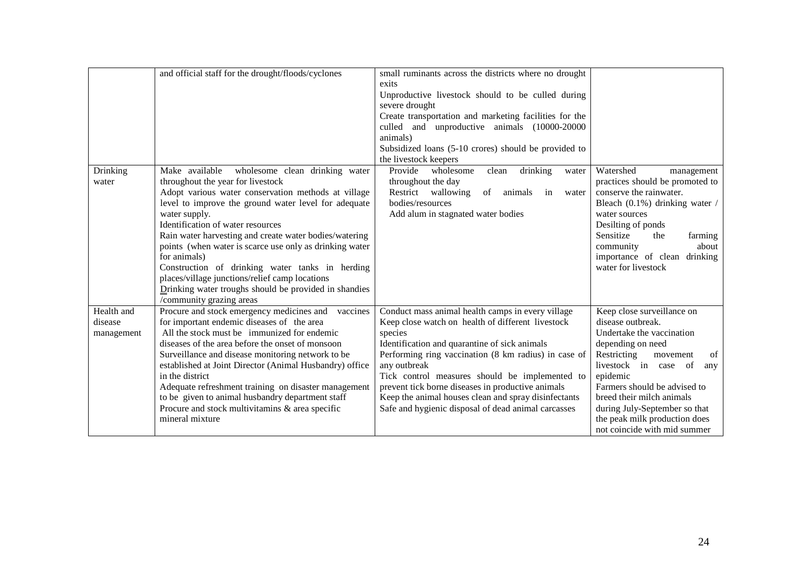|            | and official staff for the drought/floods/cyclones                                                                                               | small ruminants across the districts where no drought<br>exits<br>Unproductive livestock should to be culled during<br>severe drought<br>Create transportation and marketing facilities for the<br>culled and unproductive animals (10000-20000<br>animals)<br>Subsidized loans (5-10 crores) should be provided to<br>the livestock keepers |                                                                                                               |
|------------|--------------------------------------------------------------------------------------------------------------------------------------------------|----------------------------------------------------------------------------------------------------------------------------------------------------------------------------------------------------------------------------------------------------------------------------------------------------------------------------------------------|---------------------------------------------------------------------------------------------------------------|
| Drinking   | Make available<br>wholesome clean drinking water                                                                                                 | Provide<br>wholesome<br>drinking<br>clean<br>water                                                                                                                                                                                                                                                                                           | Watershed<br>management                                                                                       |
| water      | throughout the year for livestock<br>Adopt various water conservation methods at village<br>level to improve the ground water level for adequate | throughout the day<br>Restrict wallowing<br>of<br>animals<br>in<br>water<br>bodies/resources                                                                                                                                                                                                                                                 | practices should be promoted to<br>conserve the rainwater.<br>Bleach (0.1%) drinking water /<br>water sources |
|            | water supply.<br>Identification of water resources                                                                                               | Add alum in stagnated water bodies                                                                                                                                                                                                                                                                                                           | Desilting of ponds                                                                                            |
|            | Rain water harvesting and create water bodies/watering                                                                                           |                                                                                                                                                                                                                                                                                                                                              | Sensitize<br>the<br>farming                                                                                   |
|            | points (when water is scarce use only as drinking water                                                                                          |                                                                                                                                                                                                                                                                                                                                              | community<br>about                                                                                            |
|            | for animals)                                                                                                                                     |                                                                                                                                                                                                                                                                                                                                              | importance of clean drinking                                                                                  |
|            | Construction of drinking water tanks in herding                                                                                                  |                                                                                                                                                                                                                                                                                                                                              | water for livestock                                                                                           |
|            | places/village junctions/relief camp locations                                                                                                   |                                                                                                                                                                                                                                                                                                                                              |                                                                                                               |
|            | Drinking water troughs should be provided in shandies<br>/community grazing areas                                                                |                                                                                                                                                                                                                                                                                                                                              |                                                                                                               |
| Health and | Procure and stock emergency medicines and vaccines                                                                                               | Conduct mass animal health camps in every village                                                                                                                                                                                                                                                                                            | Keep close surveillance on                                                                                    |
| disease    | for important endemic diseases of the area                                                                                                       | Keep close watch on health of different livestock                                                                                                                                                                                                                                                                                            | disease outbreak.                                                                                             |
| management | All the stock must be immunized for endemic                                                                                                      | species                                                                                                                                                                                                                                                                                                                                      | Undertake the vaccination                                                                                     |
|            | diseases of the area before the onset of monsoon                                                                                                 | Identification and quarantine of sick animals                                                                                                                                                                                                                                                                                                | depending on need                                                                                             |
|            | Surveillance and disease monitoring network to be                                                                                                | Performing ring vaccination (8 km radius) in case of                                                                                                                                                                                                                                                                                         | Restricting<br>of<br>movement                                                                                 |
|            | established at Joint Director (Animal Husbandry) office<br>in the district                                                                       | any outbreak<br>Tick control measures should be implemented to                                                                                                                                                                                                                                                                               | livestock in case of<br>any<br>epidemic                                                                       |
|            | Adequate refreshment training on disaster management                                                                                             | prevent tick borne diseases in productive animals                                                                                                                                                                                                                                                                                            | Farmers should be advised to                                                                                  |
|            | to be given to animal husbandry department staff                                                                                                 | Keep the animal houses clean and spray disinfectants                                                                                                                                                                                                                                                                                         | breed their milch animals                                                                                     |
|            | Procure and stock multivitamins & area specific                                                                                                  | Safe and hygienic disposal of dead animal carcasses                                                                                                                                                                                                                                                                                          | during July-September so that                                                                                 |
|            | mineral mixture                                                                                                                                  |                                                                                                                                                                                                                                                                                                                                              | the peak milk production does                                                                                 |
|            |                                                                                                                                                  |                                                                                                                                                                                                                                                                                                                                              | not coincide with mid summer                                                                                  |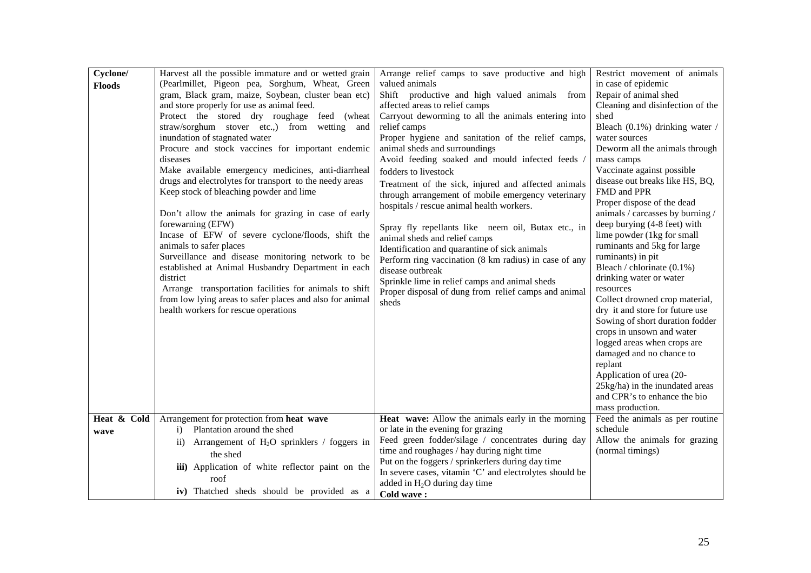| (Pearlmillet, Pigeon pea, Sorghum, Wheat, Green<br>valued animals<br>in case of epidemic<br><b>Floods</b><br>gram, Black gram, maize, Soybean, cluster bean etc)<br>Shift productive and high valued animals from<br>Repair of animal shed<br>and store properly for use as animal feed.<br>affected areas to relief camps<br>Cleaning and disinfection of the<br>Protect the stored dry roughage feed (wheat<br>Carryout deworming to all the animals entering into<br>shed<br>straw/sorghum stover etc.,) from wetting and<br>relief camps<br>Bleach (0.1%) drinking water /<br>inundation of stagnated water<br>Proper hygiene and sanitation of the relief camps,<br>water sources<br>Procure and stock vaccines for important endemic<br>animal sheds and surroundings<br>Deworm all the animals through<br>Avoid feeding soaked and mould infected feeds<br>mass camps<br>diseases<br>Make available emergency medicines, anti-diarrheal<br>Vaccinate against possible<br>fodders to livestock<br>drugs and electrolytes for transport to the needy areas<br>disease out breaks like HS, BQ,<br>Treatment of the sick, injured and affected animals<br>Keep stock of bleaching powder and lime<br>FMD and PPR<br>through arrangement of mobile emergency veterinary<br>Proper dispose of the dead<br>hospitals / rescue animal health workers.<br>animals / carcasses by burning /<br>Don't allow the animals for grazing in case of early<br>forewarning (EFW)<br>deep burying (4-8 feet) with<br>Spray fly repellants like neem oil, Butax etc., in<br>Incase of EFW of severe cyclone/floods, shift the<br>lime powder (1kg for small<br>animal sheds and relief camps<br>animals to safer places<br>ruminants and 5kg for large<br>Identification and quarantine of sick animals<br>Surveillance and disease monitoring network to be<br>ruminants) in pit<br>Perform ring vaccination (8 km radius) in case of any<br>Bleach / chlorinate (0.1%)<br>established at Animal Husbandry Department in each<br>disease outbreak<br>drinking water or water<br>district<br>Sprinkle lime in relief camps and animal sheds<br>Arrange transportation facilities for animals to shift<br>resources<br>Proper disposal of dung from relief camps and animal<br>from low lying areas to safer places and also for animal<br>Collect drowned crop material,<br>sheds<br>health workers for rescue operations<br>dry it and store for future use<br>Sowing of short duration fodder<br>crops in unsown and water<br>logged areas when crops are<br>damaged and no chance to<br>replant<br>Application of urea (20-<br>25kg/ha) in the inundated areas<br>and CPR's to enhance the bio<br>mass production.<br>Heat wave: Allow the animals early in the morning<br>Feed the animals as per routine<br>Heat & Cold<br>Arrangement for protection from heat wave<br>Plantation around the shed<br>schedule<br>or late in the evening for grazing<br>$\bf{1)}$<br>wave<br>Feed green fodder/silage / concentrates during day<br>Allow the animals for grazing<br>ii) Arrangement of H <sub>2</sub> O sprinklers / foggers in<br>time and roughages / hay during night time<br>(normal timings)<br>the shed<br>Put on the foggers / sprinkerlers during day time<br>iii) Application of white reflector paint on the<br>In severe cases, vitamin 'C' and electrolytes should be<br>roof<br>added in $H_2O$ during day time | Cyclone/ | Harvest all the possible immature and or wetted grain | Arrange relief camps to save productive and high | Restrict movement of animals |
|----------------------------------------------------------------------------------------------------------------------------------------------------------------------------------------------------------------------------------------------------------------------------------------------------------------------------------------------------------------------------------------------------------------------------------------------------------------------------------------------------------------------------------------------------------------------------------------------------------------------------------------------------------------------------------------------------------------------------------------------------------------------------------------------------------------------------------------------------------------------------------------------------------------------------------------------------------------------------------------------------------------------------------------------------------------------------------------------------------------------------------------------------------------------------------------------------------------------------------------------------------------------------------------------------------------------------------------------------------------------------------------------------------------------------------------------------------------------------------------------------------------------------------------------------------------------------------------------------------------------------------------------------------------------------------------------------------------------------------------------------------------------------------------------------------------------------------------------------------------------------------------------------------------------------------------------------------------------------------------------------------------------------------------------------------------------------------------------------------------------------------------------------------------------------------------------------------------------------------------------------------------------------------------------------------------------------------------------------------------------------------------------------------------------------------------------------------------------------------------------------------------------------------------------------------------------------------------------------------------------------------------------------------------------------------------------------------------------------------------------------------------------------------------------------------------------------------------------------------------------------------------------------------------------------------------------------------------------------------------------------------------------------------------------------------------------------------------------------------------------------------------------------------------------------------------------------------------------------------------------------------------------------------------------------------------------------------------------------------------------------------------------------------------------|----------|-------------------------------------------------------|--------------------------------------------------|------------------------------|
|                                                                                                                                                                                                                                                                                                                                                                                                                                                                                                                                                                                                                                                                                                                                                                                                                                                                                                                                                                                                                                                                                                                                                                                                                                                                                                                                                                                                                                                                                                                                                                                                                                                                                                                                                                                                                                                                                                                                                                                                                                                                                                                                                                                                                                                                                                                                                                                                                                                                                                                                                                                                                                                                                                                                                                                                                                                                                                                                                                                                                                                                                                                                                                                                                                                                                                                                                                                                                      |          |                                                       |                                                  |                              |
|                                                                                                                                                                                                                                                                                                                                                                                                                                                                                                                                                                                                                                                                                                                                                                                                                                                                                                                                                                                                                                                                                                                                                                                                                                                                                                                                                                                                                                                                                                                                                                                                                                                                                                                                                                                                                                                                                                                                                                                                                                                                                                                                                                                                                                                                                                                                                                                                                                                                                                                                                                                                                                                                                                                                                                                                                                                                                                                                                                                                                                                                                                                                                                                                                                                                                                                                                                                                                      |          |                                                       |                                                  |                              |
|                                                                                                                                                                                                                                                                                                                                                                                                                                                                                                                                                                                                                                                                                                                                                                                                                                                                                                                                                                                                                                                                                                                                                                                                                                                                                                                                                                                                                                                                                                                                                                                                                                                                                                                                                                                                                                                                                                                                                                                                                                                                                                                                                                                                                                                                                                                                                                                                                                                                                                                                                                                                                                                                                                                                                                                                                                                                                                                                                                                                                                                                                                                                                                                                                                                                                                                                                                                                                      |          |                                                       |                                                  |                              |
|                                                                                                                                                                                                                                                                                                                                                                                                                                                                                                                                                                                                                                                                                                                                                                                                                                                                                                                                                                                                                                                                                                                                                                                                                                                                                                                                                                                                                                                                                                                                                                                                                                                                                                                                                                                                                                                                                                                                                                                                                                                                                                                                                                                                                                                                                                                                                                                                                                                                                                                                                                                                                                                                                                                                                                                                                                                                                                                                                                                                                                                                                                                                                                                                                                                                                                                                                                                                                      |          |                                                       |                                                  |                              |
|                                                                                                                                                                                                                                                                                                                                                                                                                                                                                                                                                                                                                                                                                                                                                                                                                                                                                                                                                                                                                                                                                                                                                                                                                                                                                                                                                                                                                                                                                                                                                                                                                                                                                                                                                                                                                                                                                                                                                                                                                                                                                                                                                                                                                                                                                                                                                                                                                                                                                                                                                                                                                                                                                                                                                                                                                                                                                                                                                                                                                                                                                                                                                                                                                                                                                                                                                                                                                      |          |                                                       |                                                  |                              |
|                                                                                                                                                                                                                                                                                                                                                                                                                                                                                                                                                                                                                                                                                                                                                                                                                                                                                                                                                                                                                                                                                                                                                                                                                                                                                                                                                                                                                                                                                                                                                                                                                                                                                                                                                                                                                                                                                                                                                                                                                                                                                                                                                                                                                                                                                                                                                                                                                                                                                                                                                                                                                                                                                                                                                                                                                                                                                                                                                                                                                                                                                                                                                                                                                                                                                                                                                                                                                      |          |                                                       |                                                  |                              |
|                                                                                                                                                                                                                                                                                                                                                                                                                                                                                                                                                                                                                                                                                                                                                                                                                                                                                                                                                                                                                                                                                                                                                                                                                                                                                                                                                                                                                                                                                                                                                                                                                                                                                                                                                                                                                                                                                                                                                                                                                                                                                                                                                                                                                                                                                                                                                                                                                                                                                                                                                                                                                                                                                                                                                                                                                                                                                                                                                                                                                                                                                                                                                                                                                                                                                                                                                                                                                      |          |                                                       |                                                  |                              |
|                                                                                                                                                                                                                                                                                                                                                                                                                                                                                                                                                                                                                                                                                                                                                                                                                                                                                                                                                                                                                                                                                                                                                                                                                                                                                                                                                                                                                                                                                                                                                                                                                                                                                                                                                                                                                                                                                                                                                                                                                                                                                                                                                                                                                                                                                                                                                                                                                                                                                                                                                                                                                                                                                                                                                                                                                                                                                                                                                                                                                                                                                                                                                                                                                                                                                                                                                                                                                      |          |                                                       |                                                  |                              |
|                                                                                                                                                                                                                                                                                                                                                                                                                                                                                                                                                                                                                                                                                                                                                                                                                                                                                                                                                                                                                                                                                                                                                                                                                                                                                                                                                                                                                                                                                                                                                                                                                                                                                                                                                                                                                                                                                                                                                                                                                                                                                                                                                                                                                                                                                                                                                                                                                                                                                                                                                                                                                                                                                                                                                                                                                                                                                                                                                                                                                                                                                                                                                                                                                                                                                                                                                                                                                      |          |                                                       |                                                  |                              |
|                                                                                                                                                                                                                                                                                                                                                                                                                                                                                                                                                                                                                                                                                                                                                                                                                                                                                                                                                                                                                                                                                                                                                                                                                                                                                                                                                                                                                                                                                                                                                                                                                                                                                                                                                                                                                                                                                                                                                                                                                                                                                                                                                                                                                                                                                                                                                                                                                                                                                                                                                                                                                                                                                                                                                                                                                                                                                                                                                                                                                                                                                                                                                                                                                                                                                                                                                                                                                      |          |                                                       |                                                  |                              |
|                                                                                                                                                                                                                                                                                                                                                                                                                                                                                                                                                                                                                                                                                                                                                                                                                                                                                                                                                                                                                                                                                                                                                                                                                                                                                                                                                                                                                                                                                                                                                                                                                                                                                                                                                                                                                                                                                                                                                                                                                                                                                                                                                                                                                                                                                                                                                                                                                                                                                                                                                                                                                                                                                                                                                                                                                                                                                                                                                                                                                                                                                                                                                                                                                                                                                                                                                                                                                      |          |                                                       |                                                  |                              |
|                                                                                                                                                                                                                                                                                                                                                                                                                                                                                                                                                                                                                                                                                                                                                                                                                                                                                                                                                                                                                                                                                                                                                                                                                                                                                                                                                                                                                                                                                                                                                                                                                                                                                                                                                                                                                                                                                                                                                                                                                                                                                                                                                                                                                                                                                                                                                                                                                                                                                                                                                                                                                                                                                                                                                                                                                                                                                                                                                                                                                                                                                                                                                                                                                                                                                                                                                                                                                      |          |                                                       |                                                  |                              |
|                                                                                                                                                                                                                                                                                                                                                                                                                                                                                                                                                                                                                                                                                                                                                                                                                                                                                                                                                                                                                                                                                                                                                                                                                                                                                                                                                                                                                                                                                                                                                                                                                                                                                                                                                                                                                                                                                                                                                                                                                                                                                                                                                                                                                                                                                                                                                                                                                                                                                                                                                                                                                                                                                                                                                                                                                                                                                                                                                                                                                                                                                                                                                                                                                                                                                                                                                                                                                      |          |                                                       |                                                  |                              |
|                                                                                                                                                                                                                                                                                                                                                                                                                                                                                                                                                                                                                                                                                                                                                                                                                                                                                                                                                                                                                                                                                                                                                                                                                                                                                                                                                                                                                                                                                                                                                                                                                                                                                                                                                                                                                                                                                                                                                                                                                                                                                                                                                                                                                                                                                                                                                                                                                                                                                                                                                                                                                                                                                                                                                                                                                                                                                                                                                                                                                                                                                                                                                                                                                                                                                                                                                                                                                      |          |                                                       |                                                  |                              |
|                                                                                                                                                                                                                                                                                                                                                                                                                                                                                                                                                                                                                                                                                                                                                                                                                                                                                                                                                                                                                                                                                                                                                                                                                                                                                                                                                                                                                                                                                                                                                                                                                                                                                                                                                                                                                                                                                                                                                                                                                                                                                                                                                                                                                                                                                                                                                                                                                                                                                                                                                                                                                                                                                                                                                                                                                                                                                                                                                                                                                                                                                                                                                                                                                                                                                                                                                                                                                      |          |                                                       |                                                  |                              |
|                                                                                                                                                                                                                                                                                                                                                                                                                                                                                                                                                                                                                                                                                                                                                                                                                                                                                                                                                                                                                                                                                                                                                                                                                                                                                                                                                                                                                                                                                                                                                                                                                                                                                                                                                                                                                                                                                                                                                                                                                                                                                                                                                                                                                                                                                                                                                                                                                                                                                                                                                                                                                                                                                                                                                                                                                                                                                                                                                                                                                                                                                                                                                                                                                                                                                                                                                                                                                      |          |                                                       |                                                  |                              |
|                                                                                                                                                                                                                                                                                                                                                                                                                                                                                                                                                                                                                                                                                                                                                                                                                                                                                                                                                                                                                                                                                                                                                                                                                                                                                                                                                                                                                                                                                                                                                                                                                                                                                                                                                                                                                                                                                                                                                                                                                                                                                                                                                                                                                                                                                                                                                                                                                                                                                                                                                                                                                                                                                                                                                                                                                                                                                                                                                                                                                                                                                                                                                                                                                                                                                                                                                                                                                      |          |                                                       |                                                  |                              |
|                                                                                                                                                                                                                                                                                                                                                                                                                                                                                                                                                                                                                                                                                                                                                                                                                                                                                                                                                                                                                                                                                                                                                                                                                                                                                                                                                                                                                                                                                                                                                                                                                                                                                                                                                                                                                                                                                                                                                                                                                                                                                                                                                                                                                                                                                                                                                                                                                                                                                                                                                                                                                                                                                                                                                                                                                                                                                                                                                                                                                                                                                                                                                                                                                                                                                                                                                                                                                      |          |                                                       |                                                  |                              |
|                                                                                                                                                                                                                                                                                                                                                                                                                                                                                                                                                                                                                                                                                                                                                                                                                                                                                                                                                                                                                                                                                                                                                                                                                                                                                                                                                                                                                                                                                                                                                                                                                                                                                                                                                                                                                                                                                                                                                                                                                                                                                                                                                                                                                                                                                                                                                                                                                                                                                                                                                                                                                                                                                                                                                                                                                                                                                                                                                                                                                                                                                                                                                                                                                                                                                                                                                                                                                      |          |                                                       |                                                  |                              |
|                                                                                                                                                                                                                                                                                                                                                                                                                                                                                                                                                                                                                                                                                                                                                                                                                                                                                                                                                                                                                                                                                                                                                                                                                                                                                                                                                                                                                                                                                                                                                                                                                                                                                                                                                                                                                                                                                                                                                                                                                                                                                                                                                                                                                                                                                                                                                                                                                                                                                                                                                                                                                                                                                                                                                                                                                                                                                                                                                                                                                                                                                                                                                                                                                                                                                                                                                                                                                      |          |                                                       |                                                  |                              |
|                                                                                                                                                                                                                                                                                                                                                                                                                                                                                                                                                                                                                                                                                                                                                                                                                                                                                                                                                                                                                                                                                                                                                                                                                                                                                                                                                                                                                                                                                                                                                                                                                                                                                                                                                                                                                                                                                                                                                                                                                                                                                                                                                                                                                                                                                                                                                                                                                                                                                                                                                                                                                                                                                                                                                                                                                                                                                                                                                                                                                                                                                                                                                                                                                                                                                                                                                                                                                      |          |                                                       |                                                  |                              |
|                                                                                                                                                                                                                                                                                                                                                                                                                                                                                                                                                                                                                                                                                                                                                                                                                                                                                                                                                                                                                                                                                                                                                                                                                                                                                                                                                                                                                                                                                                                                                                                                                                                                                                                                                                                                                                                                                                                                                                                                                                                                                                                                                                                                                                                                                                                                                                                                                                                                                                                                                                                                                                                                                                                                                                                                                                                                                                                                                                                                                                                                                                                                                                                                                                                                                                                                                                                                                      |          |                                                       |                                                  |                              |
|                                                                                                                                                                                                                                                                                                                                                                                                                                                                                                                                                                                                                                                                                                                                                                                                                                                                                                                                                                                                                                                                                                                                                                                                                                                                                                                                                                                                                                                                                                                                                                                                                                                                                                                                                                                                                                                                                                                                                                                                                                                                                                                                                                                                                                                                                                                                                                                                                                                                                                                                                                                                                                                                                                                                                                                                                                                                                                                                                                                                                                                                                                                                                                                                                                                                                                                                                                                                                      |          |                                                       |                                                  |                              |
|                                                                                                                                                                                                                                                                                                                                                                                                                                                                                                                                                                                                                                                                                                                                                                                                                                                                                                                                                                                                                                                                                                                                                                                                                                                                                                                                                                                                                                                                                                                                                                                                                                                                                                                                                                                                                                                                                                                                                                                                                                                                                                                                                                                                                                                                                                                                                                                                                                                                                                                                                                                                                                                                                                                                                                                                                                                                                                                                                                                                                                                                                                                                                                                                                                                                                                                                                                                                                      |          |                                                       |                                                  |                              |
|                                                                                                                                                                                                                                                                                                                                                                                                                                                                                                                                                                                                                                                                                                                                                                                                                                                                                                                                                                                                                                                                                                                                                                                                                                                                                                                                                                                                                                                                                                                                                                                                                                                                                                                                                                                                                                                                                                                                                                                                                                                                                                                                                                                                                                                                                                                                                                                                                                                                                                                                                                                                                                                                                                                                                                                                                                                                                                                                                                                                                                                                                                                                                                                                                                                                                                                                                                                                                      |          |                                                       |                                                  |                              |
|                                                                                                                                                                                                                                                                                                                                                                                                                                                                                                                                                                                                                                                                                                                                                                                                                                                                                                                                                                                                                                                                                                                                                                                                                                                                                                                                                                                                                                                                                                                                                                                                                                                                                                                                                                                                                                                                                                                                                                                                                                                                                                                                                                                                                                                                                                                                                                                                                                                                                                                                                                                                                                                                                                                                                                                                                                                                                                                                                                                                                                                                                                                                                                                                                                                                                                                                                                                                                      |          |                                                       |                                                  |                              |
|                                                                                                                                                                                                                                                                                                                                                                                                                                                                                                                                                                                                                                                                                                                                                                                                                                                                                                                                                                                                                                                                                                                                                                                                                                                                                                                                                                                                                                                                                                                                                                                                                                                                                                                                                                                                                                                                                                                                                                                                                                                                                                                                                                                                                                                                                                                                                                                                                                                                                                                                                                                                                                                                                                                                                                                                                                                                                                                                                                                                                                                                                                                                                                                                                                                                                                                                                                                                                      |          |                                                       |                                                  |                              |
|                                                                                                                                                                                                                                                                                                                                                                                                                                                                                                                                                                                                                                                                                                                                                                                                                                                                                                                                                                                                                                                                                                                                                                                                                                                                                                                                                                                                                                                                                                                                                                                                                                                                                                                                                                                                                                                                                                                                                                                                                                                                                                                                                                                                                                                                                                                                                                                                                                                                                                                                                                                                                                                                                                                                                                                                                                                                                                                                                                                                                                                                                                                                                                                                                                                                                                                                                                                                                      |          |                                                       |                                                  |                              |
|                                                                                                                                                                                                                                                                                                                                                                                                                                                                                                                                                                                                                                                                                                                                                                                                                                                                                                                                                                                                                                                                                                                                                                                                                                                                                                                                                                                                                                                                                                                                                                                                                                                                                                                                                                                                                                                                                                                                                                                                                                                                                                                                                                                                                                                                                                                                                                                                                                                                                                                                                                                                                                                                                                                                                                                                                                                                                                                                                                                                                                                                                                                                                                                                                                                                                                                                                                                                                      |          |                                                       |                                                  |                              |
|                                                                                                                                                                                                                                                                                                                                                                                                                                                                                                                                                                                                                                                                                                                                                                                                                                                                                                                                                                                                                                                                                                                                                                                                                                                                                                                                                                                                                                                                                                                                                                                                                                                                                                                                                                                                                                                                                                                                                                                                                                                                                                                                                                                                                                                                                                                                                                                                                                                                                                                                                                                                                                                                                                                                                                                                                                                                                                                                                                                                                                                                                                                                                                                                                                                                                                                                                                                                                      |          |                                                       |                                                  |                              |
|                                                                                                                                                                                                                                                                                                                                                                                                                                                                                                                                                                                                                                                                                                                                                                                                                                                                                                                                                                                                                                                                                                                                                                                                                                                                                                                                                                                                                                                                                                                                                                                                                                                                                                                                                                                                                                                                                                                                                                                                                                                                                                                                                                                                                                                                                                                                                                                                                                                                                                                                                                                                                                                                                                                                                                                                                                                                                                                                                                                                                                                                                                                                                                                                                                                                                                                                                                                                                      |          |                                                       |                                                  |                              |
|                                                                                                                                                                                                                                                                                                                                                                                                                                                                                                                                                                                                                                                                                                                                                                                                                                                                                                                                                                                                                                                                                                                                                                                                                                                                                                                                                                                                                                                                                                                                                                                                                                                                                                                                                                                                                                                                                                                                                                                                                                                                                                                                                                                                                                                                                                                                                                                                                                                                                                                                                                                                                                                                                                                                                                                                                                                                                                                                                                                                                                                                                                                                                                                                                                                                                                                                                                                                                      |          |                                                       |                                                  |                              |
|                                                                                                                                                                                                                                                                                                                                                                                                                                                                                                                                                                                                                                                                                                                                                                                                                                                                                                                                                                                                                                                                                                                                                                                                                                                                                                                                                                                                                                                                                                                                                                                                                                                                                                                                                                                                                                                                                                                                                                                                                                                                                                                                                                                                                                                                                                                                                                                                                                                                                                                                                                                                                                                                                                                                                                                                                                                                                                                                                                                                                                                                                                                                                                                                                                                                                                                                                                                                                      |          |                                                       |                                                  |                              |
|                                                                                                                                                                                                                                                                                                                                                                                                                                                                                                                                                                                                                                                                                                                                                                                                                                                                                                                                                                                                                                                                                                                                                                                                                                                                                                                                                                                                                                                                                                                                                                                                                                                                                                                                                                                                                                                                                                                                                                                                                                                                                                                                                                                                                                                                                                                                                                                                                                                                                                                                                                                                                                                                                                                                                                                                                                                                                                                                                                                                                                                                                                                                                                                                                                                                                                                                                                                                                      |          |                                                       |                                                  |                              |
|                                                                                                                                                                                                                                                                                                                                                                                                                                                                                                                                                                                                                                                                                                                                                                                                                                                                                                                                                                                                                                                                                                                                                                                                                                                                                                                                                                                                                                                                                                                                                                                                                                                                                                                                                                                                                                                                                                                                                                                                                                                                                                                                                                                                                                                                                                                                                                                                                                                                                                                                                                                                                                                                                                                                                                                                                                                                                                                                                                                                                                                                                                                                                                                                                                                                                                                                                                                                                      |          |                                                       |                                                  |                              |
|                                                                                                                                                                                                                                                                                                                                                                                                                                                                                                                                                                                                                                                                                                                                                                                                                                                                                                                                                                                                                                                                                                                                                                                                                                                                                                                                                                                                                                                                                                                                                                                                                                                                                                                                                                                                                                                                                                                                                                                                                                                                                                                                                                                                                                                                                                                                                                                                                                                                                                                                                                                                                                                                                                                                                                                                                                                                                                                                                                                                                                                                                                                                                                                                                                                                                                                                                                                                                      |          |                                                       |                                                  |                              |
|                                                                                                                                                                                                                                                                                                                                                                                                                                                                                                                                                                                                                                                                                                                                                                                                                                                                                                                                                                                                                                                                                                                                                                                                                                                                                                                                                                                                                                                                                                                                                                                                                                                                                                                                                                                                                                                                                                                                                                                                                                                                                                                                                                                                                                                                                                                                                                                                                                                                                                                                                                                                                                                                                                                                                                                                                                                                                                                                                                                                                                                                                                                                                                                                                                                                                                                                                                                                                      |          |                                                       |                                                  |                              |
|                                                                                                                                                                                                                                                                                                                                                                                                                                                                                                                                                                                                                                                                                                                                                                                                                                                                                                                                                                                                                                                                                                                                                                                                                                                                                                                                                                                                                                                                                                                                                                                                                                                                                                                                                                                                                                                                                                                                                                                                                                                                                                                                                                                                                                                                                                                                                                                                                                                                                                                                                                                                                                                                                                                                                                                                                                                                                                                                                                                                                                                                                                                                                                                                                                                                                                                                                                                                                      |          | iv) Thatched sheds should be provided as a            | Cold wave:                                       |                              |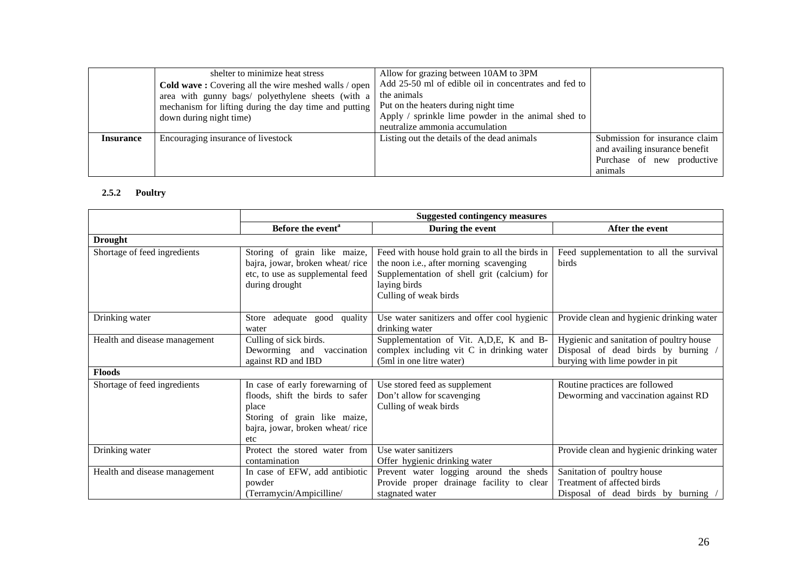|                  | shelter to minimize heat stress                       | Allow for grazing between 10AM to 3PM                 |                                |
|------------------|-------------------------------------------------------|-------------------------------------------------------|--------------------------------|
|                  | Cold wave: Covering all the wire meshed walls / open  | Add 25-50 ml of edible oil in concentrates and fed to |                                |
|                  | area with gunny bags/ polyethylene sheets (with a     | the animals                                           |                                |
|                  | mechanism for lifting during the day time and putting | Put on the heaters during night time                  |                                |
|                  | down during night time)                               | Apply / sprinkle lime powder in the animal shed to    |                                |
|                  |                                                       | neutralize ammonia accumulation                       |                                |
| <b>Insurance</b> | Encouraging insurance of livestock                    | Listing out the details of the dead animals           | Submission for insurance claim |
|                  |                                                       |                                                       | and availing insurance benefit |
|                  |                                                       |                                                       | Purchase of new productive     |
|                  |                                                       |                                                       | animals                        |

#### **2.5.2 Poultry**

|                               |                                                                                                                                                        | <b>Suggested contingency measures</b>                                                                                                                                             |                                                                                                                  |
|-------------------------------|--------------------------------------------------------------------------------------------------------------------------------------------------------|-----------------------------------------------------------------------------------------------------------------------------------------------------------------------------------|------------------------------------------------------------------------------------------------------------------|
|                               | Before the event <sup>a</sup>                                                                                                                          | During the event                                                                                                                                                                  | After the event                                                                                                  |
| <b>Drought</b>                |                                                                                                                                                        |                                                                                                                                                                                   |                                                                                                                  |
| Shortage of feed ingredients  | Storing of grain like maize,<br>bajra, jowar, broken wheat/rice<br>etc, to use as supplemental feed<br>during drought                                  | Feed with house hold grain to all the birds in<br>the noon i.e., after morning scavenging<br>Supplementation of shell grit (calcium) for<br>laying birds<br>Culling of weak birds | Feed supplementation to all the survival<br>birds                                                                |
| Drinking water                | Store adequate good quality<br>water                                                                                                                   | Use water sanitizers and offer cool hygienic<br>drinking water                                                                                                                    | Provide clean and hygienic drinking water                                                                        |
| Health and disease management | Culling of sick birds.<br>Deworming and vaccination<br>against RD and IBD                                                                              | Supplementation of Vit. A, D, E, K and B-<br>complex including vit C in drinking water<br>(5ml in one litre water)                                                                | Hygienic and sanitation of poultry house<br>Disposal of dead birds by burning<br>burying with lime powder in pit |
| <b>Floods</b>                 |                                                                                                                                                        |                                                                                                                                                                                   |                                                                                                                  |
| Shortage of feed ingredients  | In case of early forewarning of<br>floods, shift the birds to safer<br>place<br>Storing of grain like maize,<br>bajra, jowar, broken wheat/rice<br>etc | Use stored feed as supplement<br>Don't allow for scavenging<br>Culling of weak birds                                                                                              | Routine practices are followed<br>Deworming and vaccination against RD                                           |
| Drinking water                | Protect the stored water from<br>contamination                                                                                                         | Use water sanitizers<br>Offer hygienic drinking water                                                                                                                             | Provide clean and hygienic drinking water                                                                        |
| Health and disease management | In case of EFW, add antibiotic<br>powder<br>(Terramycin/Ampicilline/                                                                                   | Prevent water logging around the sheds<br>Provide proper drainage facility to clear<br>stagnated water                                                                            | Sanitation of poultry house<br>Treatment of affected birds<br>Disposal of dead birds by burning                  |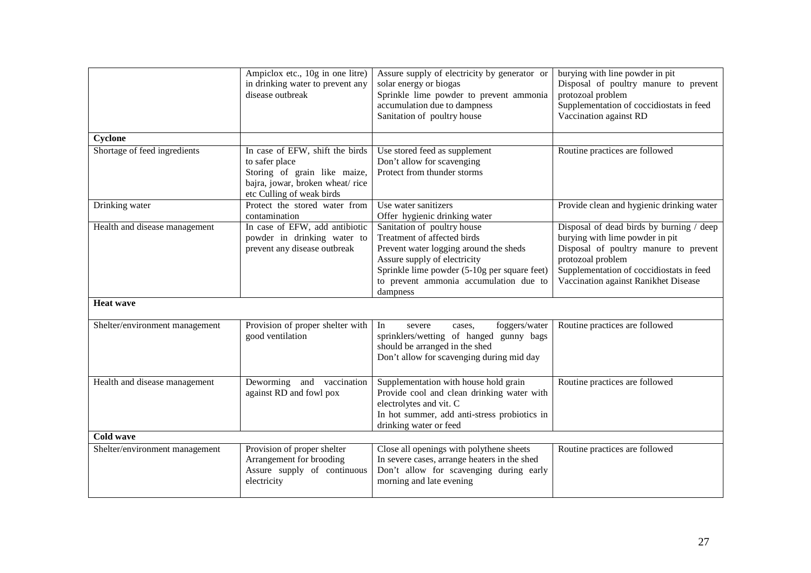|                                | Ampiclox etc., 10g in one litre)<br>in drinking water to prevent any<br>disease outbreak                                                          | Assure supply of electricity by generator or<br>solar energy or biogas<br>Sprinkle lime powder to prevent ammonia<br>accumulation due to dampness<br>Sanitation of poultry house                                                           | burying with line powder in pit<br>Disposal of poultry manure to prevent<br>protozoal problem<br>Supplementation of coccidiostats in feed<br>Vaccination against RD                                                           |
|--------------------------------|---------------------------------------------------------------------------------------------------------------------------------------------------|--------------------------------------------------------------------------------------------------------------------------------------------------------------------------------------------------------------------------------------------|-------------------------------------------------------------------------------------------------------------------------------------------------------------------------------------------------------------------------------|
| Cyclone                        |                                                                                                                                                   |                                                                                                                                                                                                                                            |                                                                                                                                                                                                                               |
| Shortage of feed ingredients   | In case of EFW, shift the birds<br>to safer place<br>Storing of grain like maize,<br>bajra, jowar, broken wheat/rice<br>etc Culling of weak birds | Use stored feed as supplement<br>Don't allow for scavenging<br>Protect from thunder storms                                                                                                                                                 | Routine practices are followed                                                                                                                                                                                                |
| Drinking water                 | Protect the stored water from<br>contamination                                                                                                    | Use water sanitizers<br>Offer hygienic drinking water                                                                                                                                                                                      | Provide clean and hygienic drinking water                                                                                                                                                                                     |
| Health and disease management  | In case of EFW, add antibiotic<br>powder in drinking water to<br>prevent any disease outbreak                                                     | Sanitation of poultry house<br>Treatment of affected birds<br>Prevent water logging around the sheds<br>Assure supply of electricity<br>Sprinkle lime powder (5-10g per square feet)<br>to prevent ammonia accumulation due to<br>dampness | Disposal of dead birds by burning / deep<br>burying with lime powder in pit<br>Disposal of poultry manure to prevent<br>protozoal problem<br>Supplementation of coccidiostats in feed<br>Vaccination against Ranikhet Disease |
| <b>Heat wave</b>               |                                                                                                                                                   |                                                                                                                                                                                                                                            |                                                                                                                                                                                                                               |
| Shelter/environment management | Provision of proper shelter with<br>good ventilation                                                                                              | In<br>foggers/water<br>severe<br>cases,<br>sprinklers/wetting of hanged gunny bags<br>should be arranged in the shed<br>Don't allow for scavenging during mid day                                                                          | Routine practices are followed                                                                                                                                                                                                |
| Health and disease management  | Deworming<br>and vaccination<br>against RD and fowl pox                                                                                           | Supplementation with house hold grain<br>Provide cool and clean drinking water with<br>electrolytes and vit. C<br>In hot summer, add anti-stress probiotics in<br>drinking water or feed                                                   | Routine practices are followed                                                                                                                                                                                                |
| <b>Cold wave</b>               |                                                                                                                                                   |                                                                                                                                                                                                                                            |                                                                                                                                                                                                                               |
| Shelter/environment management | Provision of proper shelter<br>Arrangement for brooding<br>Assure supply of continuous<br>electricity                                             | Close all openings with polythene sheets<br>In severe cases, arrange heaters in the shed<br>Don't allow for scavenging during early<br>morning and late evening                                                                            | Routine practices are followed                                                                                                                                                                                                |